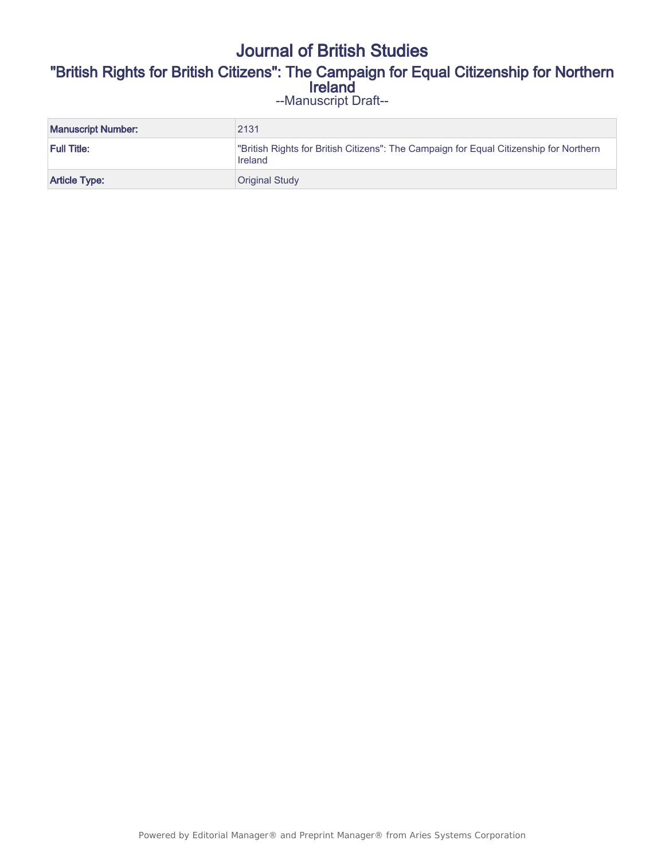# Journal of British Studies "British Rights for British Citizens": The Campaign for Equal Citizenship for Northern Ireland --Manuscript Draft--

| <b>Manuscript Number:</b> | 2131                                                                                              |
|---------------------------|---------------------------------------------------------------------------------------------------|
| Full Title:               | "British Rights for British Citizens": The Campaign for Equal Citizenship for Northern<br>Ireland |
| <b>Article Type:</b>      | <b>Original Study</b>                                                                             |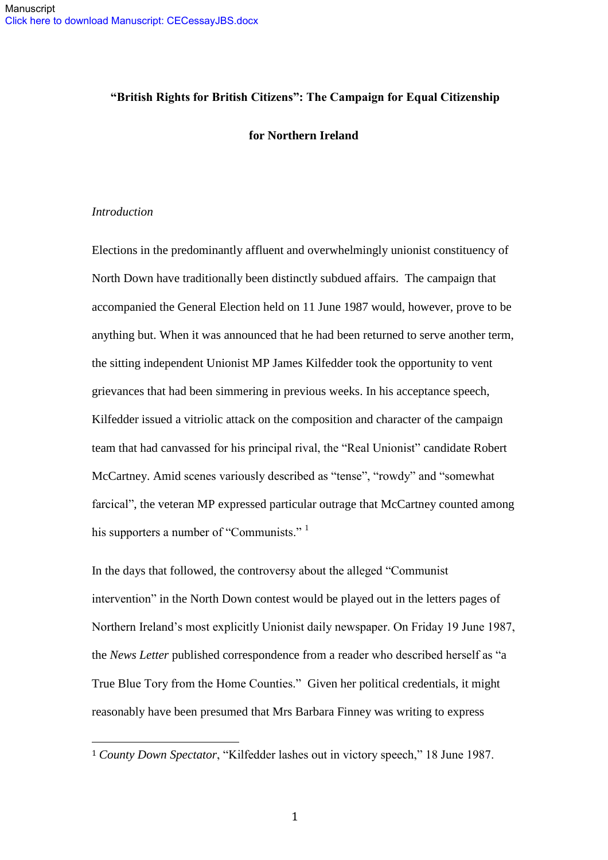### **"British Rights for British Citizens": The Campaign for Equal Citizenship**

#### **for Northern Ireland**

### *Introduction*

 $\overline{a}$ 

Elections in the predominantly affluent and overwhelmingly unionist constituency of North Down have traditionally been distinctly subdued affairs. The campaign that accompanied the General Election held on 11 June 1987 would, however, prove to be anything but. When it was announced that he had been returned to serve another term, the sitting independent Unionist MP James Kilfedder took the opportunity to vent grievances that had been simmering in previous weeks. In his acceptance speech, Kilfedder issued a vitriolic attack on the composition and character of the campaign team that had canvassed for his principal rival, the "Real Unionist" candidate Robert McCartney. Amid scenes variously described as "tense", "rowdy" and "somewhat farcical", the veteran MP expressed particular outrage that McCartney counted among his supporters a number of "Communists."<sup>1</sup>

In the days that followed, the controversy about the alleged "Communist intervention" in the North Down contest would be played out in the letters pages of Northern Ireland's most explicitly Unionist daily newspaper. On Friday 19 June 1987, the *News Letter* published correspondence from a reader who described herself as "a True Blue Tory from the Home Counties." Given her political credentials, it might reasonably have been presumed that Mrs Barbara Finney was writing to express

<sup>1</sup> *County Down Spectator*, "Kilfedder lashes out in victory speech," 18 June 1987.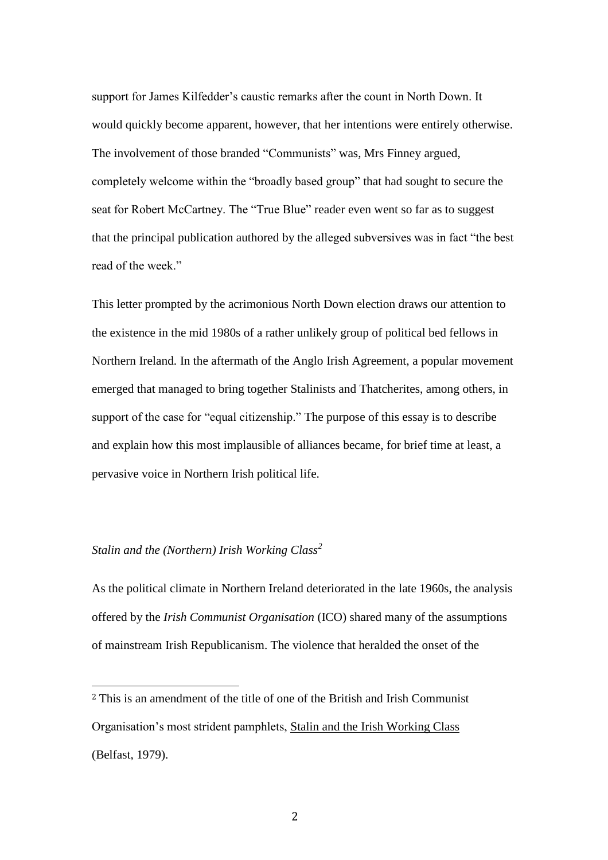support for James Kilfedder's caustic remarks after the count in North Down. It would quickly become apparent, however, that her intentions were entirely otherwise. The involvement of those branded "Communists" was, Mrs Finney argued, completely welcome within the "broadly based group" that had sought to secure the seat for Robert McCartney. The "True Blue" reader even went so far as to suggest that the principal publication authored by the alleged subversives was in fact "the best read of the week."

This letter prompted by the acrimonious North Down election draws our attention to the existence in the mid 1980s of a rather unlikely group of political bed fellows in Northern Ireland. In the aftermath of the Anglo Irish Agreement, a popular movement emerged that managed to bring together Stalinists and Thatcherites, among others, in support of the case for "equal citizenship." The purpose of this essay is to describe and explain how this most implausible of alliances became, for brief time at least, a pervasive voice in Northern Irish political life.

# *Stalin and the (Northern) Irish Working Class<sup>2</sup>*

 $\overline{a}$ 

As the political climate in Northern Ireland deteriorated in the late 1960s, the analysis offered by the *Irish Communist Organisation* (ICO) shared many of the assumptions of mainstream Irish Republicanism. The violence that heralded the onset of the

<sup>2</sup> This is an amendment of the title of one of the British and Irish Communist Organisation's most strident pamphlets, Stalin and the Irish Working Class (Belfast, 1979).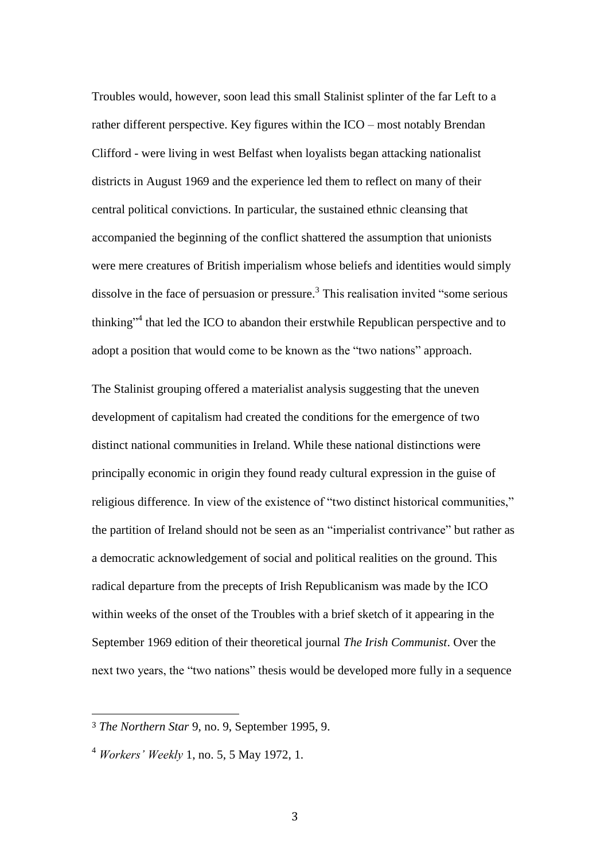Troubles would, however, soon lead this small Stalinist splinter of the far Left to a rather different perspective. Key figures within the ICO – most notably Brendan Clifford - were living in west Belfast when loyalists began attacking nationalist districts in August 1969 and the experience led them to reflect on many of their central political convictions. In particular, the sustained ethnic cleansing that accompanied the beginning of the conflict shattered the assumption that unionists were mere creatures of British imperialism whose beliefs and identities would simply dissolve in the face of persuasion or pressure.<sup>3</sup> This realisation invited "some serious thinking"<sup>4</sup> that led the ICO to abandon their erstwhile Republican perspective and to adopt a position that would come to be known as the "two nations" approach.

The Stalinist grouping offered a materialist analysis suggesting that the uneven development of capitalism had created the conditions for the emergence of two distinct national communities in Ireland. While these national distinctions were principally economic in origin they found ready cultural expression in the guise of religious difference. In view of the existence of "two distinct historical communities," the partition of Ireland should not be seen as an "imperialist contrivance" but rather as a democratic acknowledgement of social and political realities on the ground. This radical departure from the precepts of Irish Republicanism was made by the ICO within weeks of the onset of the Troubles with a brief sketch of it appearing in the September 1969 edition of their theoretical journal *The Irish Communist*. Over the next two years, the "two nations" thesis would be developed more fully in a sequence

<sup>3</sup> *The Northern Star* 9, no. 9, September 1995, 9.

<sup>4</sup> *Workers' Weekly* 1, no. 5, 5 May 1972, 1.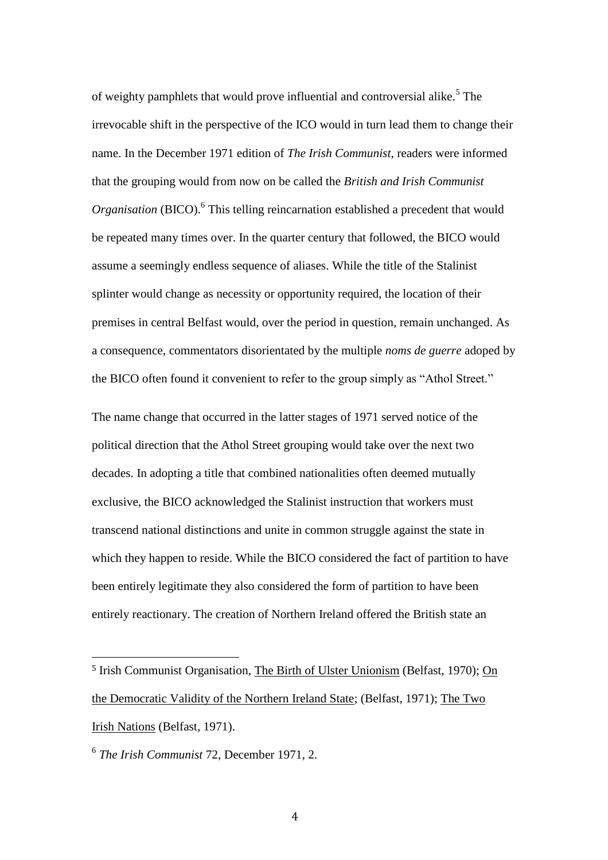of weighty pamphlets that would prove influential and controversial alike.<sup>5</sup> The irrevocable shift in the perspective of the ICO would in turn lead them to change their name. In the December 1971 edition of *The Irish Communist*, readers were informed that the grouping would from now on be called the *British and Irish Communist*  Organisation (BICO).<sup>6</sup> This telling reincarnation established a precedent that would be repeated many times over. In the quarter century that followed, the BICO would assume a seemingly endless sequence of aliases. While the title of the Stalinist splinter would change as necessity or opportunity required, the location of their premises in central Belfast would, over the period in question, remain unchanged. As a consequence, commentators disorientated by the multiple *noms de guerre* adoped by the BICO often found it convenient to refer to the group simply as "Athol Street."

The name change that occurred in the latter stages of 1971 served notice of the political direction that the Athol Street grouping would take over the next two decades. In adopting a title that combined nationalities often deemed mutually exclusive, the BICO acknowledged the Stalinist instruction that workers must transcend national distinctions and unite in common struggle against the state in which they happen to reside. While the BICO considered the fact of partition to have been entirely legitimate they also considered the form of partition to have been entirely reactionary. The creation of Northern Ireland offered the British state an

<sup>5</sup> Irish Communist Organisation, The Birth of Ulster Unionism (Belfast, 1970); On the Democratic Validity of the Northern Ireland State; (Belfast, 1971); The Two Irish Nations (Belfast, 1971).

<sup>6</sup> *The Irish Communist* 72, December 1971, 2.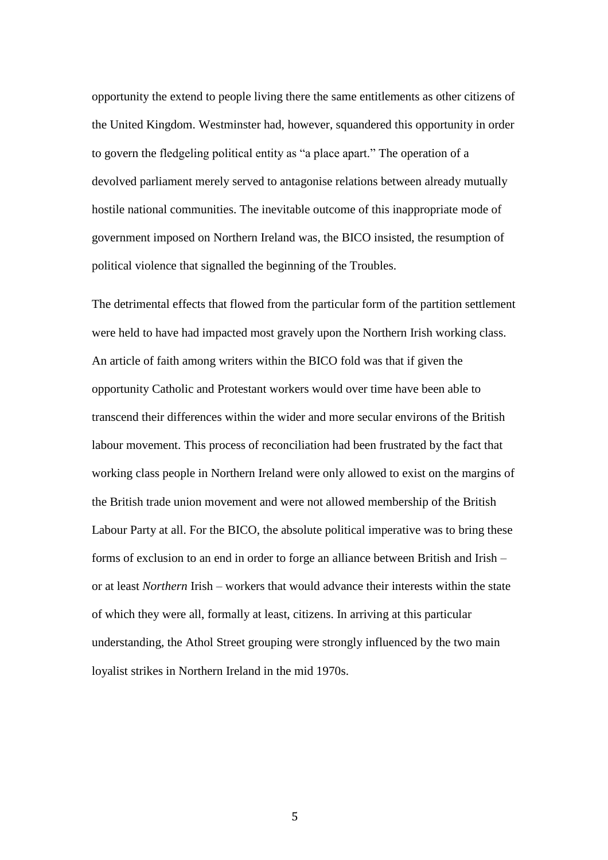opportunity the extend to people living there the same entitlements as other citizens of the United Kingdom. Westminster had, however, squandered this opportunity in order to govern the fledgeling political entity as "a place apart." The operation of a devolved parliament merely served to antagonise relations between already mutually hostile national communities. The inevitable outcome of this inappropriate mode of government imposed on Northern Ireland was, the BICO insisted, the resumption of political violence that signalled the beginning of the Troubles.

The detrimental effects that flowed from the particular form of the partition settlement were held to have had impacted most gravely upon the Northern Irish working class. An article of faith among writers within the BICO fold was that if given the opportunity Catholic and Protestant workers would over time have been able to transcend their differences within the wider and more secular environs of the British labour movement. This process of reconciliation had been frustrated by the fact that working class people in Northern Ireland were only allowed to exist on the margins of the British trade union movement and were not allowed membership of the British Labour Party at all. For the BICO, the absolute political imperative was to bring these forms of exclusion to an end in order to forge an alliance between British and Irish – or at least *Northern* Irish – workers that would advance their interests within the state of which they were all, formally at least, citizens. In arriving at this particular understanding, the Athol Street grouping were strongly influenced by the two main loyalist strikes in Northern Ireland in the mid 1970s.

5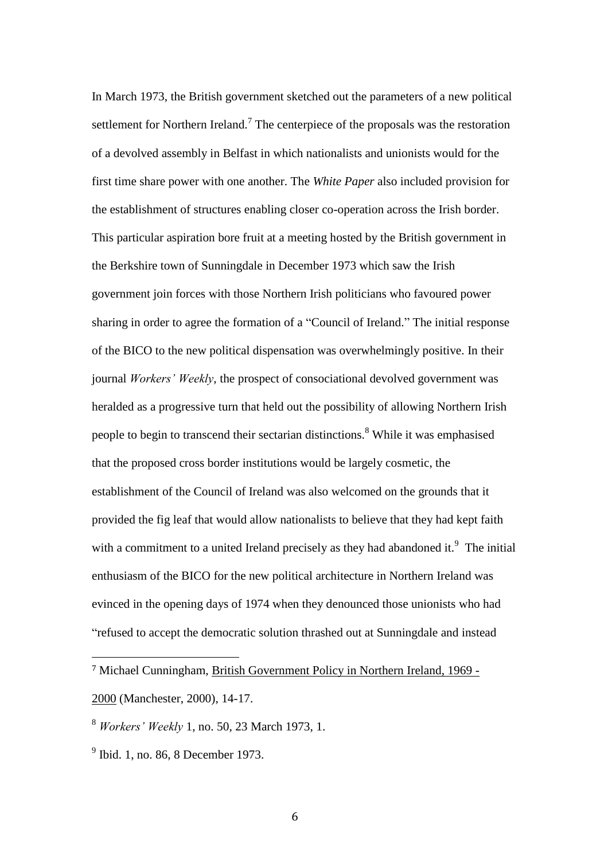In March 1973, the British government sketched out the parameters of a new political settlement for Northern Ireland.<sup>7</sup> The centerpiece of the proposals was the restoration of a devolved assembly in Belfast in which nationalists and unionists would for the first time share power with one another. The *White Paper* also included provision for the establishment of structures enabling closer co-operation across the Irish border. This particular aspiration bore fruit at a meeting hosted by the British government in the Berkshire town of Sunningdale in December 1973 which saw the Irish government join forces with those Northern Irish politicians who favoured power sharing in order to agree the formation of a "Council of Ireland." The initial response of the BICO to the new political dispensation was overwhelmingly positive. In their journal *Workers' Weekly*, the prospect of consociational devolved government was heralded as a progressive turn that held out the possibility of allowing Northern Irish people to begin to transcend their sectarian distinctions.<sup>8</sup> While it was emphasised that the proposed cross border institutions would be largely cosmetic, the establishment of the Council of Ireland was also welcomed on the grounds that it provided the fig leaf that would allow nationalists to believe that they had kept faith with a commitment to a united Ireland precisely as they had abandoned it. $9$  The initial enthusiasm of the BICO for the new political architecture in Northern Ireland was evinced in the opening days of 1974 when they denounced those unionists who had "refused to accept the democratic solution thrashed out at Sunningdale and instead

<sup>7</sup> Michael Cunningham, British Government Policy in Northern Ireland, 1969 - 2000 (Manchester, 2000), 14-17.

<sup>8</sup> *Workers' Weekly* 1, no. 50, 23 March 1973, 1.

 $9^9$  Ibid. 1, no. 86, 8 December 1973.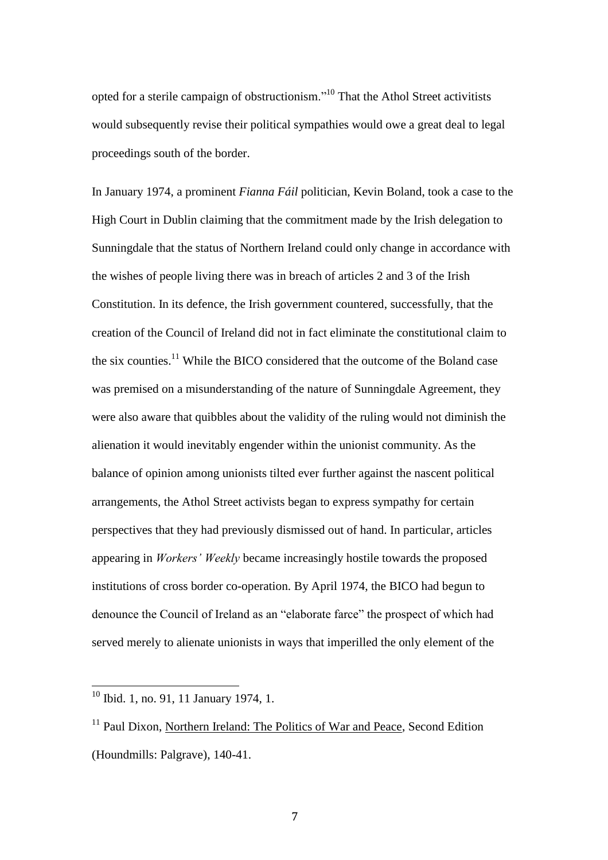opted for a sterile campaign of obstructionism."<sup>10</sup> That the Athol Street activitists would subsequently revise their political sympathies would owe a great deal to legal proceedings south of the border.

In January 1974, a prominent *Fianna Fáil* politician, Kevin Boland, took a case to the High Court in Dublin claiming that the commitment made by the Irish delegation to Sunningdale that the status of Northern Ireland could only change in accordance with the wishes of people living there was in breach of articles 2 and 3 of the Irish Constitution. In its defence, the Irish government countered, successfully, that the creation of the Council of Ireland did not in fact eliminate the constitutional claim to the six counties.<sup>11</sup> While the BICO considered that the outcome of the Boland case was premised on a misunderstanding of the nature of Sunningdale Agreement, they were also aware that quibbles about the validity of the ruling would not diminish the alienation it would inevitably engender within the unionist community. As the balance of opinion among unionists tilted ever further against the nascent political arrangements, the Athol Street activists began to express sympathy for certain perspectives that they had previously dismissed out of hand. In particular, articles appearing in *Workers' Weekly* became increasingly hostile towards the proposed institutions of cross border co-operation. By April 1974, the BICO had begun to denounce the Council of Ireland as an "elaborate farce" the prospect of which had served merely to alienate unionists in ways that imperilled the only element of the

<sup>&</sup>lt;sup>10</sup> Ibid. 1, no. 91, 11 January 1974, 1.

 $11$  Paul Dixon, Northern Ireland: The Politics of War and Peace, Second Edition (Houndmills: Palgrave), 140-41.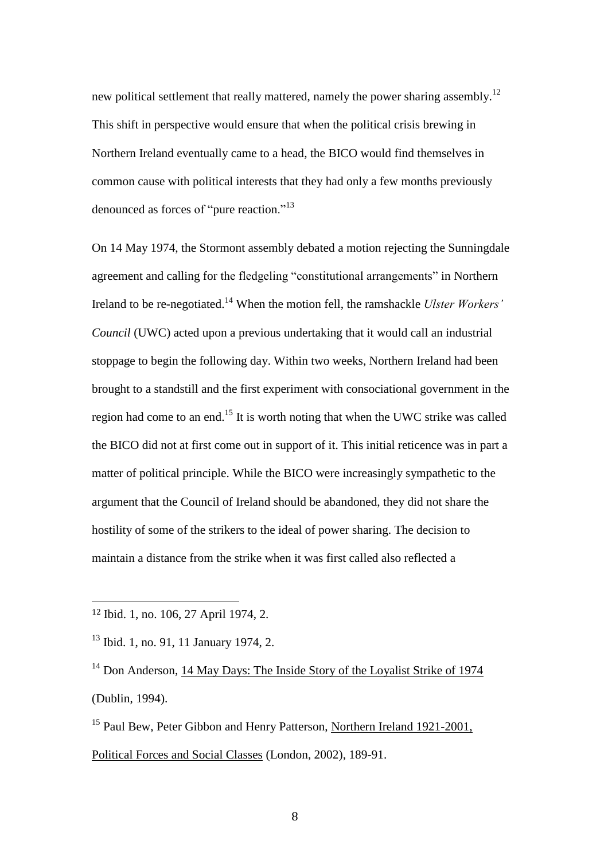new political settlement that really mattered, namely the power sharing assembly.<sup>12</sup> This shift in perspective would ensure that when the political crisis brewing in Northern Ireland eventually came to a head, the BICO would find themselves in common cause with political interests that they had only a few months previously denounced as forces of "pure reaction."<sup>13</sup>

On 14 May 1974, the Stormont assembly debated a motion rejecting the Sunningdale agreement and calling for the fledgeling "constitutional arrangements" in Northern Ireland to be re-negotiated.<sup>14</sup> When the motion fell, the ramshackle *Ulster Workers' Council* (UWC) acted upon a previous undertaking that it would call an industrial stoppage to begin the following day. Within two weeks, Northern Ireland had been brought to a standstill and the first experiment with consociational government in the region had come to an end.<sup>15</sup> It is worth noting that when the UWC strike was called the BICO did not at first come out in support of it. This initial reticence was in part a matter of political principle. While the BICO were increasingly sympathetic to the argument that the Council of Ireland should be abandoned, they did not share the hostility of some of the strikers to the ideal of power sharing. The decision to maintain a distance from the strike when it was first called also reflected a

<sup>12</sup> Ibid. 1, no. 106, 27 April 1974, 2.

<sup>&</sup>lt;sup>13</sup> Ibid. 1, no. 91, 11 January 1974, 2.

<sup>&</sup>lt;sup>14</sup> Don Anderson, 14 May Days: The Inside Story of the Loyalist Strike of 1974 (Dublin, 1994).

<sup>&</sup>lt;sup>15</sup> Paul Bew, Peter Gibbon and Henry Patterson, Northern Ireland 1921-2001, Political Forces and Social Classes (London, 2002), 189-91.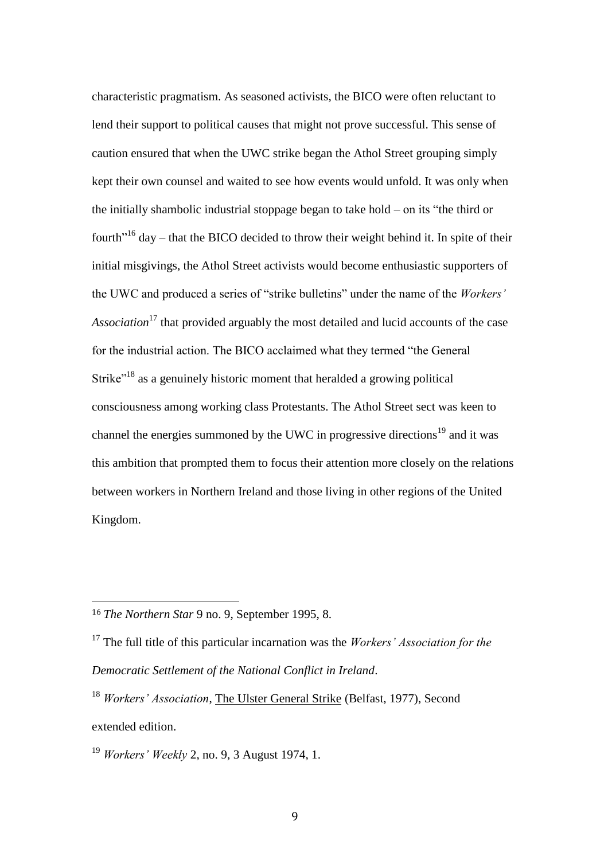characteristic pragmatism. As seasoned activists, the BICO were often reluctant to lend their support to political causes that might not prove successful. This sense of caution ensured that when the UWC strike began the Athol Street grouping simply kept their own counsel and waited to see how events would unfold. It was only when the initially shambolic industrial stoppage began to take hold – on its "the third or fourth<sup> $16$ </sup> day – that the BICO decided to throw their weight behind it. In spite of their initial misgivings, the Athol Street activists would become enthusiastic supporters of the UWC and produced a series of "strike bulletins" under the name of the *Workers' Association*<sup>17</sup> that provided arguably the most detailed and lucid accounts of the case for the industrial action. The BICO acclaimed what they termed "the General Strike<sup>"18</sup> as a genuinely historic moment that heralded a growing political consciousness among working class Protestants. The Athol Street sect was keen to channel the energies summoned by the UWC in progressive directions<sup>19</sup> and it was this ambition that prompted them to focus their attention more closely on the relations between workers in Northern Ireland and those living in other regions of the United Kingdom.

<sup>16</sup> *The Northern Star* 9 no. 9, September 1995, 8.

<sup>17</sup> The full title of this particular incarnation was the *Workers' Association for the Democratic Settlement of the National Conflict in Ireland*.

<sup>18</sup> *Workers' Association*, The Ulster General Strike (Belfast, 1977), Second extended edition.

<sup>19</sup> *Workers' Weekly* 2, no. 9, 3 August 1974, 1.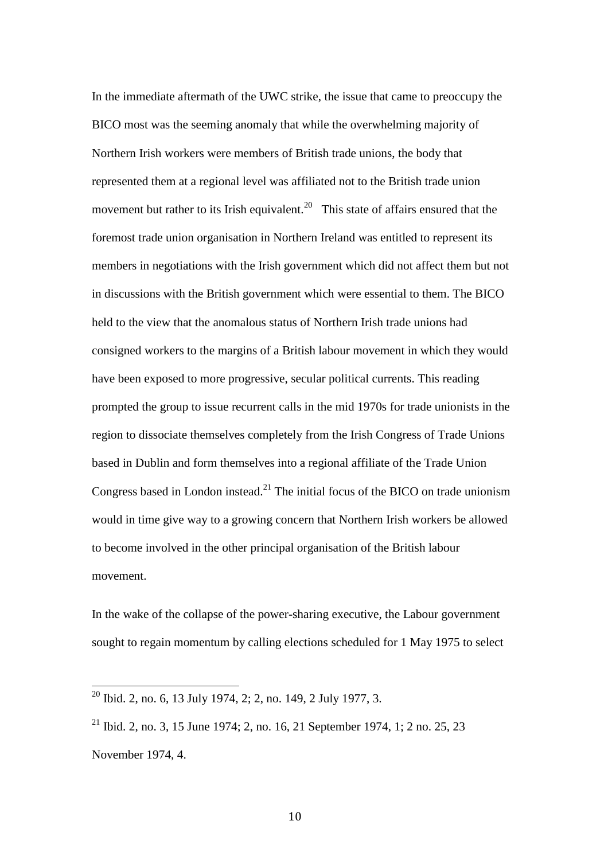In the immediate aftermath of the UWC strike, the issue that came to preoccupy the BICO most was the seeming anomaly that while the overwhelming majority of Northern Irish workers were members of British trade unions, the body that represented them at a regional level was affiliated not to the British trade union movement but rather to its Irish equivalent.<sup>20</sup> This state of affairs ensured that the foremost trade union organisation in Northern Ireland was entitled to represent its members in negotiations with the Irish government which did not affect them but not in discussions with the British government which were essential to them. The BICO held to the view that the anomalous status of Northern Irish trade unions had consigned workers to the margins of a British labour movement in which they would have been exposed to more progressive, secular political currents. This reading prompted the group to issue recurrent calls in the mid 1970s for trade unionists in the region to dissociate themselves completely from the Irish Congress of Trade Unions based in Dublin and form themselves into a regional affiliate of the Trade Union Congress based in London instead.<sup>21</sup> The initial focus of the BICO on trade unionism would in time give way to a growing concern that Northern Irish workers be allowed to become involved in the other principal organisation of the British labour movement.

In the wake of the collapse of the power-sharing executive, the Labour government sought to regain momentum by calling elections scheduled for 1 May 1975 to select

 $^{20}$  Ibid. 2, no. 6, 13 July 1974, 2; 2, no. 149, 2 July 1977, 3.

<sup>&</sup>lt;sup>21</sup> Ibid. 2, no. 3, 15 June 1974; 2, no. 16, 21 September 1974, 1; 2 no. 25, 23 November 1974, 4.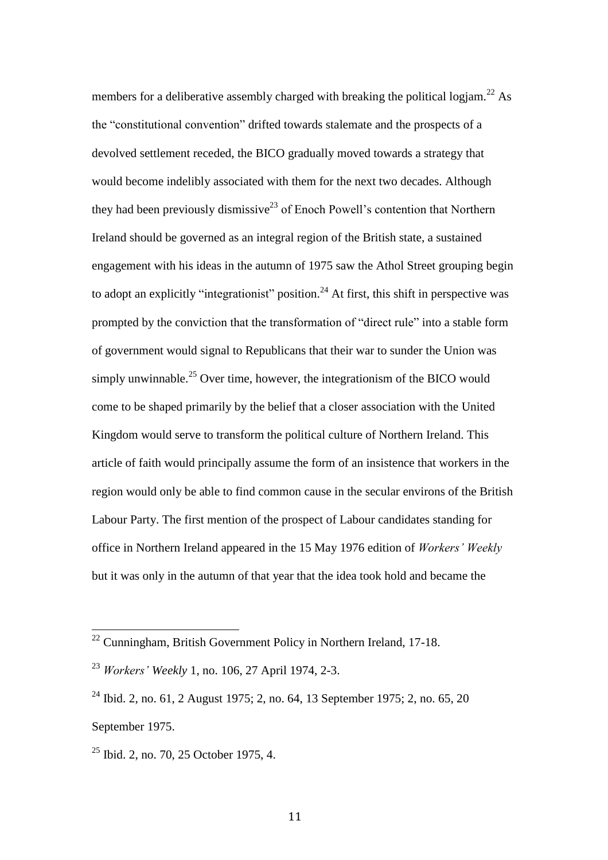members for a deliberative assembly charged with breaking the political logiam.<sup>22</sup> As the "constitutional convention" drifted towards stalemate and the prospects of a devolved settlement receded, the BICO gradually moved towards a strategy that would become indelibly associated with them for the next two decades. Although they had been previously dismissive<sup>23</sup> of Enoch Powell's contention that Northern Ireland should be governed as an integral region of the British state, a sustained engagement with his ideas in the autumn of 1975 saw the Athol Street grouping begin to adopt an explicitly "integrationist" position.<sup>24</sup> At first, this shift in perspective was prompted by the conviction that the transformation of "direct rule" into a stable form of government would signal to Republicans that their war to sunder the Union was simply unwinnable.<sup>25</sup> Over time, however, the integrationism of the BICO would come to be shaped primarily by the belief that a closer association with the United Kingdom would serve to transform the political culture of Northern Ireland. This article of faith would principally assume the form of an insistence that workers in the region would only be able to find common cause in the secular environs of the British Labour Party. The first mention of the prospect of Labour candidates standing for office in Northern Ireland appeared in the 15 May 1976 edition of *Workers' Weekly* but it was only in the autumn of that year that the idea took hold and became the

 $22$  Cunningham, British Government Policy in Northern Ireland, 17-18.

<sup>23</sup> *Workers' Weekly* 1, no. 106, 27 April 1974, 2-3.

<sup>24</sup> Ibid. 2, no. 61, 2 August 1975; 2, no. 64, 13 September 1975; 2, no. 65, 20 September 1975.

 $25$  Ibid. 2, no. 70, 25 October 1975, 4.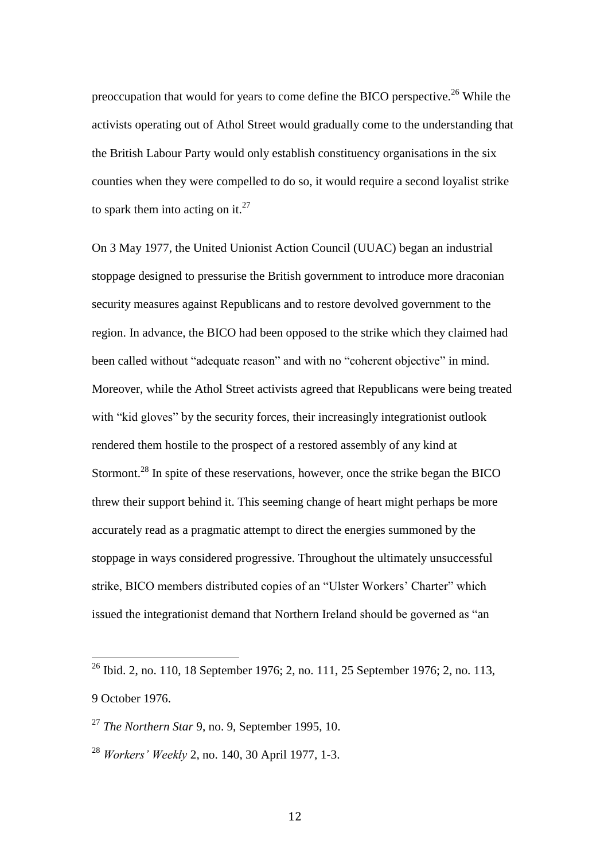preoccupation that would for years to come define the BICO perspective.<sup>26</sup> While the activists operating out of Athol Street would gradually come to the understanding that the British Labour Party would only establish constituency organisations in the six counties when they were compelled to do so, it would require a second loyalist strike to spark them into acting on it.<sup>27</sup>

On 3 May 1977, the United Unionist Action Council (UUAC) began an industrial stoppage designed to pressurise the British government to introduce more draconian security measures against Republicans and to restore devolved government to the region. In advance, the BICO had been opposed to the strike which they claimed had been called without "adequate reason" and with no "coherent objective" in mind. Moreover, while the Athol Street activists agreed that Republicans were being treated with "kid gloves" by the security forces, their increasingly integrationist outlook rendered them hostile to the prospect of a restored assembly of any kind at Stormont.<sup>28</sup> In spite of these reservations, however, once the strike began the BICO threw their support behind it. This seeming change of heart might perhaps be more accurately read as a pragmatic attempt to direct the energies summoned by the stoppage in ways considered progressive. Throughout the ultimately unsuccessful strike, BICO members distributed copies of an "Ulster Workers' Charter" which issued the integrationist demand that Northern Ireland should be governed as "an

<sup>&</sup>lt;sup>26</sup> Ibid. 2, no. 110, 18 September 1976; 2, no. 111, 25 September 1976; 2, no. 113, 9 October 1976.

<sup>27</sup> *The Northern Star* 9, no. 9, September 1995, 10.

<sup>28</sup> *Workers' Weekly* 2, no. 140, 30 April 1977, 1-3.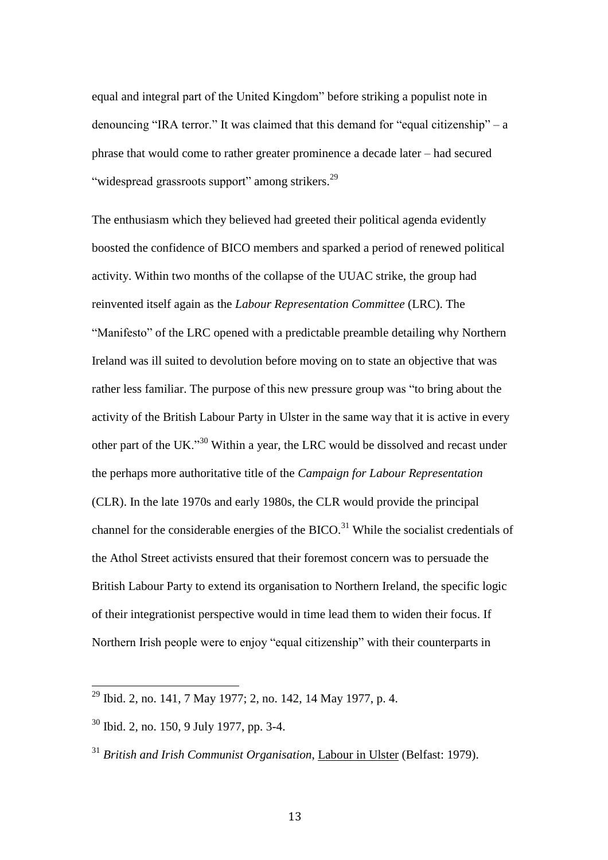equal and integral part of the United Kingdom" before striking a populist note in denouncing "IRA terror." It was claimed that this demand for "equal citizenship" – a phrase that would come to rather greater prominence a decade later – had secured "widespread grassroots support" among strikers.<sup>29</sup>

The enthusiasm which they believed had greeted their political agenda evidently boosted the confidence of BICO members and sparked a period of renewed political activity. Within two months of the collapse of the UUAC strike, the group had reinvented itself again as the *Labour Representation Committee* (LRC). The "Manifesto" of the LRC opened with a predictable preamble detailing why Northern Ireland was ill suited to devolution before moving on to state an objective that was rather less familiar. The purpose of this new pressure group was "to bring about the activity of the British Labour Party in Ulster in the same way that it is active in every other part of the UK."<sup>30</sup> Within a year, the LRC would be dissolved and recast under the perhaps more authoritative title of the *Campaign for Labour Representation* (CLR). In the late 1970s and early 1980s, the CLR would provide the principal channel for the considerable energies of the BICO.<sup>31</sup> While the socialist credentials of the Athol Street activists ensured that their foremost concern was to persuade the British Labour Party to extend its organisation to Northern Ireland, the specific logic of their integrationist perspective would in time lead them to widen their focus. If Northern Irish people were to enjoy "equal citizenship" with their counterparts in

<sup>&</sup>lt;sup>29</sup> Ibid. 2, no. 141, 7 May 1977; 2, no. 142, 14 May 1977, p. 4.

<sup>30</sup> Ibid. 2, no. 150, 9 July 1977, pp. 3-4.

<sup>31</sup> *British and Irish Communist Organisation*, Labour in Ulster (Belfast: 1979).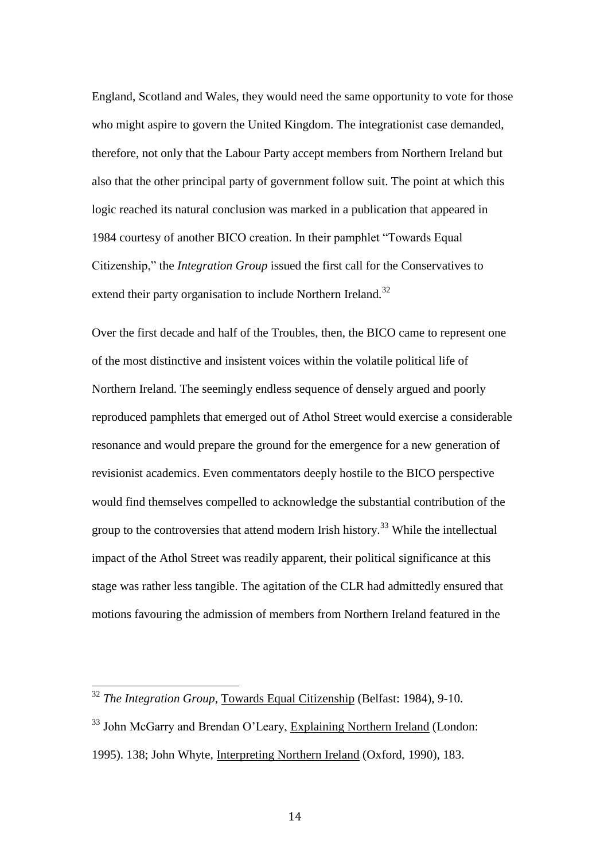England, Scotland and Wales, they would need the same opportunity to vote for those who might aspire to govern the United Kingdom. The integrationist case demanded, therefore, not only that the Labour Party accept members from Northern Ireland but also that the other principal party of government follow suit. The point at which this logic reached its natural conclusion was marked in a publication that appeared in 1984 courtesy of another BICO creation. In their pamphlet "Towards Equal Citizenship," the *Integration Group* issued the first call for the Conservatives to extend their party organisation to include Northern Ireland.<sup>32</sup>

Over the first decade and half of the Troubles, then, the BICO came to represent one of the most distinctive and insistent voices within the volatile political life of Northern Ireland. The seemingly endless sequence of densely argued and poorly reproduced pamphlets that emerged out of Athol Street would exercise a considerable resonance and would prepare the ground for the emergence for a new generation of revisionist academics. Even commentators deeply hostile to the BICO perspective would find themselves compelled to acknowledge the substantial contribution of the group to the controversies that attend modern Irish history.<sup>33</sup> While the intellectual impact of the Athol Street was readily apparent, their political significance at this stage was rather less tangible. The agitation of the CLR had admittedly ensured that motions favouring the admission of members from Northern Ireland featured in the

<sup>32</sup> *The Integration Group*, Towards Equal Citizenship (Belfast: 1984), 9-10.

<sup>&</sup>lt;sup>33</sup> John McGarry and Brendan O'Leary, Explaining Northern Ireland (London: 1995). 138; John Whyte, Interpreting Northern Ireland (Oxford, 1990), 183.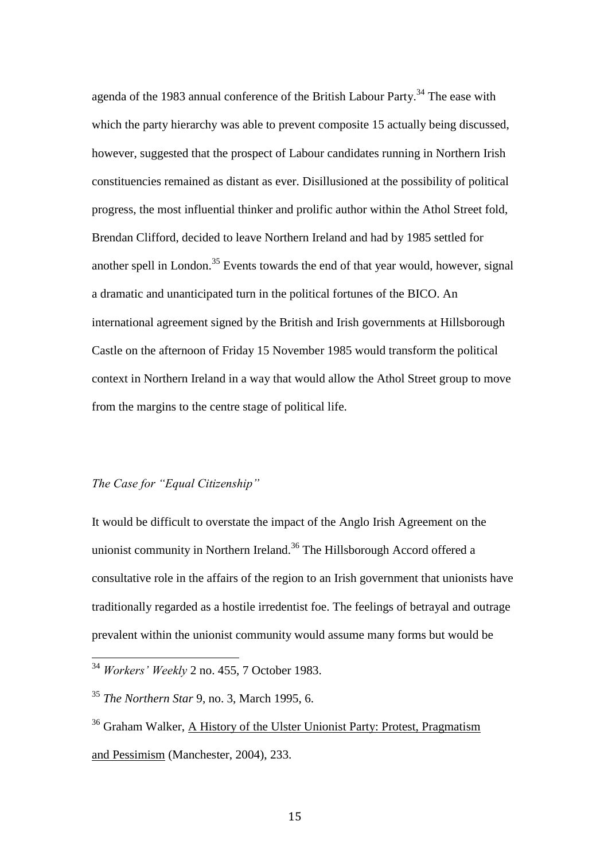agenda of the 1983 annual conference of the British Labour Party.<sup>34</sup> The ease with which the party hierarchy was able to prevent composite 15 actually being discussed, however, suggested that the prospect of Labour candidates running in Northern Irish constituencies remained as distant as ever. Disillusioned at the possibility of political progress, the most influential thinker and prolific author within the Athol Street fold, Brendan Clifford, decided to leave Northern Ireland and had by 1985 settled for another spell in London.<sup>35</sup> Events towards the end of that year would, however, signal a dramatic and unanticipated turn in the political fortunes of the BICO. An international agreement signed by the British and Irish governments at Hillsborough Castle on the afternoon of Friday 15 November 1985 would transform the political context in Northern Ireland in a way that would allow the Athol Street group to move from the margins to the centre stage of political life.

# *The Case for "Equal Citizenship"*

 $\overline{a}$ 

It would be difficult to overstate the impact of the Anglo Irish Agreement on the unionist community in Northern Ireland.<sup>36</sup> The Hillsborough Accord offered a consultative role in the affairs of the region to an Irish government that unionists have traditionally regarded as a hostile irredentist foe. The feelings of betrayal and outrage prevalent within the unionist community would assume many forms but would be

<sup>34</sup> *Workers' Weekly* 2 no. 455, 7 October 1983.

<sup>35</sup> *The Northern Star* 9, no. 3, March 1995, 6.

<sup>36</sup> Graham Walker, A History of the Ulster Unionist Party: Protest, Pragmatism and Pessimism (Manchester, 2004), 233.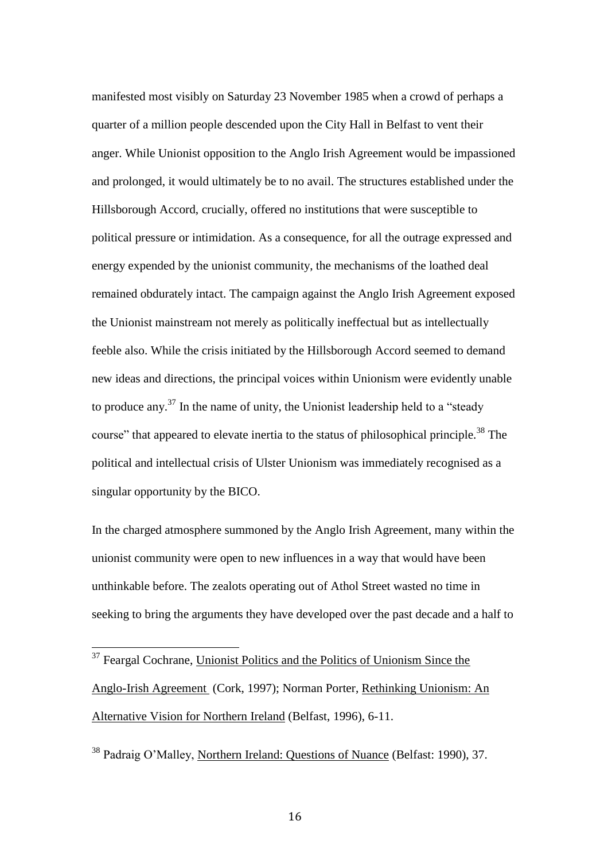manifested most visibly on Saturday 23 November 1985 when a crowd of perhaps a quarter of a million people descended upon the City Hall in Belfast to vent their anger. While Unionist opposition to the Anglo Irish Agreement would be impassioned and prolonged, it would ultimately be to no avail. The structures established under the Hillsborough Accord, crucially, offered no institutions that were susceptible to political pressure or intimidation. As a consequence, for all the outrage expressed and energy expended by the unionist community, the mechanisms of the loathed deal remained obdurately intact. The campaign against the Anglo Irish Agreement exposed the Unionist mainstream not merely as politically ineffectual but as intellectually feeble also. While the crisis initiated by the Hillsborough Accord seemed to demand new ideas and directions, the principal voices within Unionism were evidently unable to produce any.<sup>37</sup> In the name of unity, the Unionist leadership held to a "steady" course" that appeared to elevate inertia to the status of philosophical principle.<sup>38</sup> The political and intellectual crisis of Ulster Unionism was immediately recognised as a singular opportunity by the BICO.

In the charged atmosphere summoned by the Anglo Irish Agreement, many within the unionist community were open to new influences in a way that would have been unthinkable before. The zealots operating out of Athol Street wasted no time in seeking to bring the arguments they have developed over the past decade and a half to

 $\overline{a}$ 

<sup>38</sup> Padraig O'Malley, Northern Ireland: Questions of Nuance (Belfast: 1990), 37.

<sup>&</sup>lt;sup>37</sup> Feargal Cochrane, Unionist Politics and the Politics of Unionism Since the Anglo-Irish Agreement (Cork, 1997); Norman Porter, Rethinking Unionism: An Alternative Vision for Northern Ireland (Belfast, 1996), 6-11.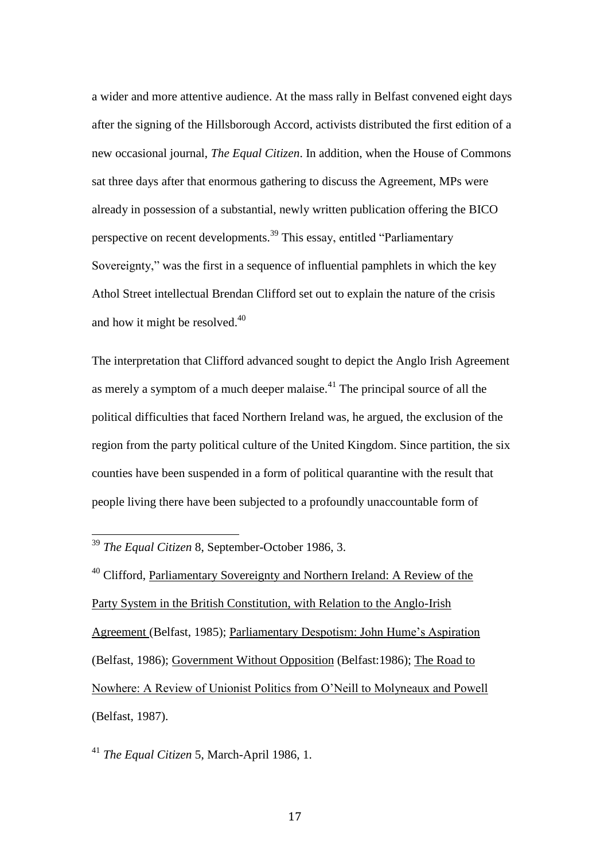a wider and more attentive audience. At the mass rally in Belfast convened eight days after the signing of the Hillsborough Accord, activists distributed the first edition of a new occasional journal, *The Equal Citizen*. In addition, when the House of Commons sat three days after that enormous gathering to discuss the Agreement, MPs were already in possession of a substantial, newly written publication offering the BICO perspective on recent developments.<sup>39</sup> This essay, entitled "Parliamentary Sovereignty," was the first in a sequence of influential pamphlets in which the key Athol Street intellectual Brendan Clifford set out to explain the nature of the crisis and how it might be resolved.<sup>40</sup>

The interpretation that Clifford advanced sought to depict the Anglo Irish Agreement as merely a symptom of a much deeper malaise.<sup> $41$ </sup> The principal source of all the political difficulties that faced Northern Ireland was, he argued, the exclusion of the region from the party political culture of the United Kingdom. Since partition, the six counties have been suspended in a form of political quarantine with the result that people living there have been subjected to a profoundly unaccountable form of

 $\overline{a}$ 

<sup>41</sup> *The Equal Citizen* 5, March-April 1986, 1.

<sup>39</sup> *The Equal Citizen* 8, September-October 1986, 3.

<sup>&</sup>lt;sup>40</sup> Clifford, Parliamentary Sovereignty and Northern Ireland: A Review of the Party System in the British Constitution, with Relation to the Anglo-Irish Agreement (Belfast, 1985); Parliamentary Despotism: John Hume's Aspiration (Belfast, 1986); Government Without Opposition (Belfast:1986); The Road to Nowhere: A Review of Unionist Politics from O'Neill to Molyneaux and Powell (Belfast, 1987).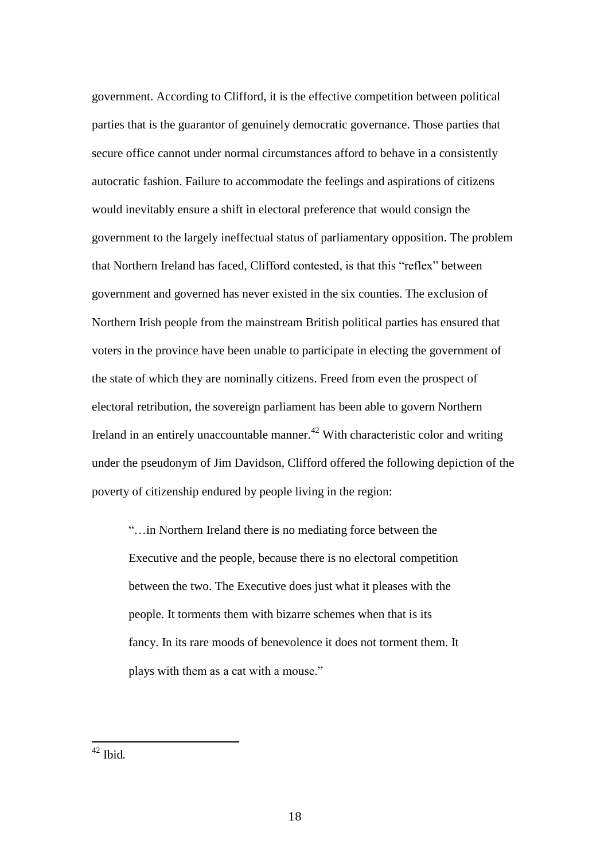government. According to Clifford, it is the effective competition between political parties that is the guarantor of genuinely democratic governance. Those parties that secure office cannot under normal circumstances afford to behave in a consistently autocratic fashion. Failure to accommodate the feelings and aspirations of citizens would inevitably ensure a shift in electoral preference that would consign the government to the largely ineffectual status of parliamentary opposition. The problem that Northern Ireland has faced, Clifford contested, is that this "reflex" between government and governed has never existed in the six counties. The exclusion of Northern Irish people from the mainstream British political parties has ensured that voters in the province have been unable to participate in electing the government of the state of which they are nominally citizens. Freed from even the prospect of electoral retribution, the sovereign parliament has been able to govern Northern Ireland in an entirely unaccountable manner.<sup>42</sup> With characteristic color and writing under the pseudonym of Jim Davidson, Clifford offered the following depiction of the poverty of citizenship endured by people living in the region:

"…in Northern Ireland there is no mediating force between the Executive and the people, because there is no electoral competition between the two. The Executive does just what it pleases with the people. It torments them with bizarre schemes when that is its fancy. In its rare moods of benevolence it does not torment them. It plays with them as a cat with a mouse."

 $42$  Ibid.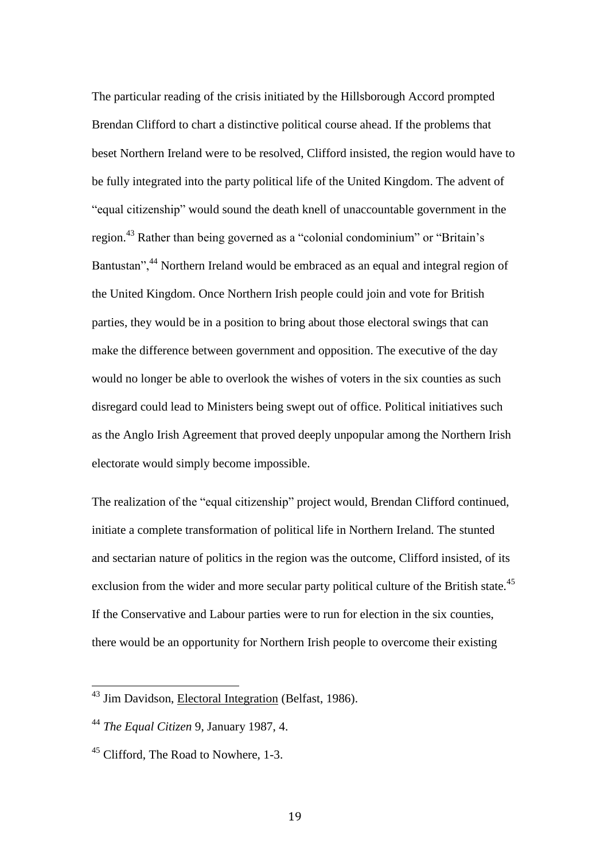The particular reading of the crisis initiated by the Hillsborough Accord prompted Brendan Clifford to chart a distinctive political course ahead. If the problems that beset Northern Ireland were to be resolved, Clifford insisted, the region would have to be fully integrated into the party political life of the United Kingdom. The advent of "equal citizenship" would sound the death knell of unaccountable government in the region.<sup>43</sup> Rather than being governed as a "colonial condominium" or "Britain's Bantustan",<sup>44</sup> Northern Ireland would be embraced as an equal and integral region of the United Kingdom. Once Northern Irish people could join and vote for British parties, they would be in a position to bring about those electoral swings that can make the difference between government and opposition. The executive of the day would no longer be able to overlook the wishes of voters in the six counties as such disregard could lead to Ministers being swept out of office. Political initiatives such as the Anglo Irish Agreement that proved deeply unpopular among the Northern Irish electorate would simply become impossible.

The realization of the "equal citizenship" project would, Brendan Clifford continued, initiate a complete transformation of political life in Northern Ireland. The stunted and sectarian nature of politics in the region was the outcome, Clifford insisted, of its exclusion from the wider and more secular party political culture of the British state.<sup>45</sup> If the Conservative and Labour parties were to run for election in the six counties, there would be an opportunity for Northern Irish people to overcome their existing

<sup>&</sup>lt;sup>43</sup> Jim Davidson, Electoral Integration (Belfast, 1986).

<sup>44</sup> *The Equal Citizen* 9, January 1987, 4.

<sup>&</sup>lt;sup>45</sup> Clifford, The Road to Nowhere, 1-3.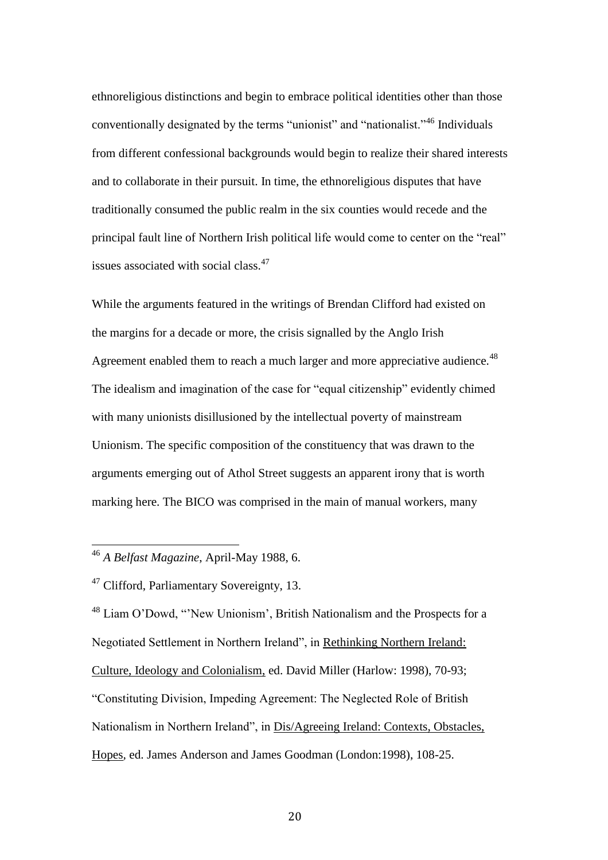ethnoreligious distinctions and begin to embrace political identities other than those conventionally designated by the terms "unionist" and "nationalist."<sup>46</sup> Individuals from different confessional backgrounds would begin to realize their shared interests and to collaborate in their pursuit. In time, the ethnoreligious disputes that have traditionally consumed the public realm in the six counties would recede and the principal fault line of Northern Irish political life would come to center on the "real" issues associated with social class.<sup>47</sup>

While the arguments featured in the writings of Brendan Clifford had existed on the margins for a decade or more, the crisis signalled by the Anglo Irish Agreement enabled them to reach a much larger and more appreciative audience.<sup>48</sup> The idealism and imagination of the case for "equal citizenship" evidently chimed with many unionists disillusioned by the intellectual poverty of mainstream Unionism. The specific composition of the constituency that was drawn to the arguments emerging out of Athol Street suggests an apparent irony that is worth marking here. The BICO was comprised in the main of manual workers, many

 $\overline{a}$ 

<sup>48</sup> Liam O'Dowd, "'New Unionism', British Nationalism and the Prospects for a Negotiated Settlement in Northern Ireland", in Rethinking Northern Ireland: Culture, Ideology and Colonialism, ed. David Miller (Harlow: 1998), 70-93; "Constituting Division, Impeding Agreement: The Neglected Role of British Nationalism in Northern Ireland", in Dis/Agreeing Ireland: Contexts, Obstacles, Hopes*,* ed. James Anderson and James Goodman (London:1998), 108-25.

<sup>46</sup> *A Belfast Magazine*, April-May 1988, 6.

<sup>&</sup>lt;sup>47</sup> Clifford, Parliamentary Sovereignty, 13.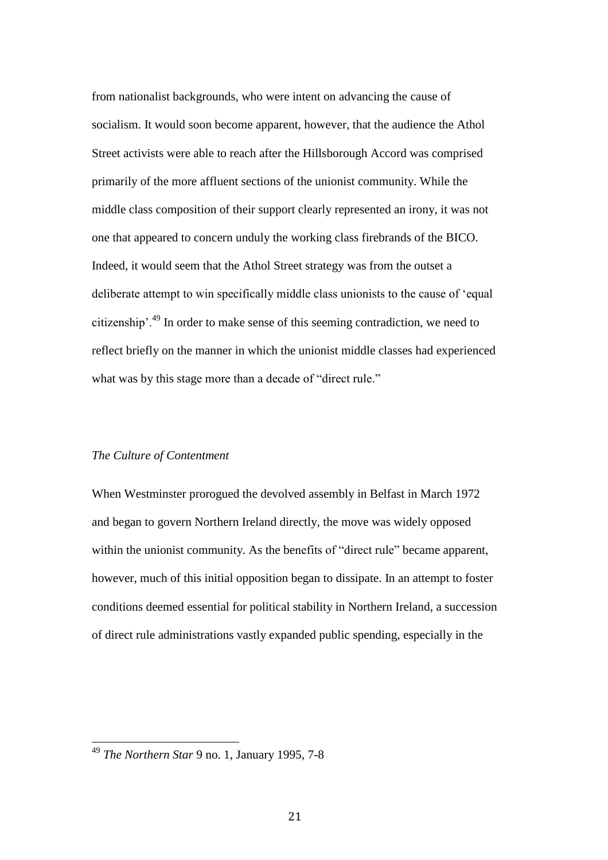from nationalist backgrounds, who were intent on advancing the cause of socialism. It would soon become apparent, however, that the audience the Athol Street activists were able to reach after the Hillsborough Accord was comprised primarily of the more affluent sections of the unionist community. While the middle class composition of their support clearly represented an irony, it was not one that appeared to concern unduly the working class firebrands of the BICO. Indeed, it would seem that the Athol Street strategy was from the outset a deliberate attempt to win specifically middle class unionists to the cause of 'equal citizenship'.<sup>49</sup> In order to make sense of this seeming contradiction, we need to reflect briefly on the manner in which the unionist middle classes had experienced what was by this stage more than a decade of "direct rule."

#### *The Culture of Contentment*

When Westminster prorogued the devolved assembly in Belfast in March 1972 and began to govern Northern Ireland directly, the move was widely opposed within the unionist community. As the benefits of "direct rule" became apparent, however, much of this initial opposition began to dissipate. In an attempt to foster conditions deemed essential for political stability in Northern Ireland, a succession of direct rule administrations vastly expanded public spending, especially in the

<sup>49</sup> *The Northern Star* 9 no. 1, January 1995, 7-8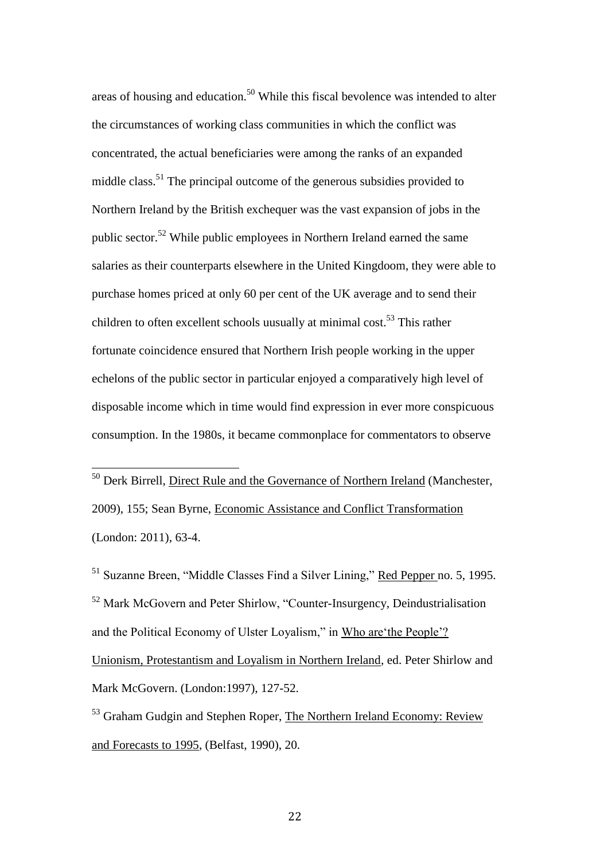areas of housing and education.<sup>50</sup> While this fiscal bevolence was intended to alter the circumstances of working class communities in which the conflict was concentrated, the actual beneficiaries were among the ranks of an expanded middle class.<sup>51</sup> The principal outcome of the generous subsidies provided to Northern Ireland by the British exchequer was the vast expansion of jobs in the public sector.<sup>52</sup> While public employees in Northern Ireland earned the same salaries as their counterparts elsewhere in the United Kingdoom, they were able to purchase homes priced at only 60 per cent of the UK average and to send their children to often excellent schools uusually at minimal cost.<sup>53</sup> This rather fortunate coincidence ensured that Northern Irish people working in the upper echelons of the public sector in particular enjoyed a comparatively high level of disposable income which in time would find expression in ever more conspicuous consumption. In the 1980s, it became commonplace for commentators to observe

<sup>50</sup> Derk Birrell, Direct Rule and the Governance of Northern Ireland (Manchester, 2009), 155; Sean Byrne, Economic Assistance and Conflict Transformation (London: 2011), 63-4.

 $\overline{a}$ 

<sup>51</sup> Suzanne Breen, "Middle Classes Find a Silver Lining," Red Pepper no. 5, 1995. <sup>52</sup> Mark McGovern and Peter Shirlow, "Counter-Insurgency, Deindustrialisation and the Political Economy of Ulster Loyalism," in Who are'the People'? Unionism, Protestantism and Loyalism in Northern Ireland*,* ed. Peter Shirlow and Mark McGovern. (London:1997), 127-52.

<sup>53</sup> Graham Gudgin and Stephen Roper, The Northern Ireland Economy: Review and Forecasts to 1995, (Belfast, 1990), 20.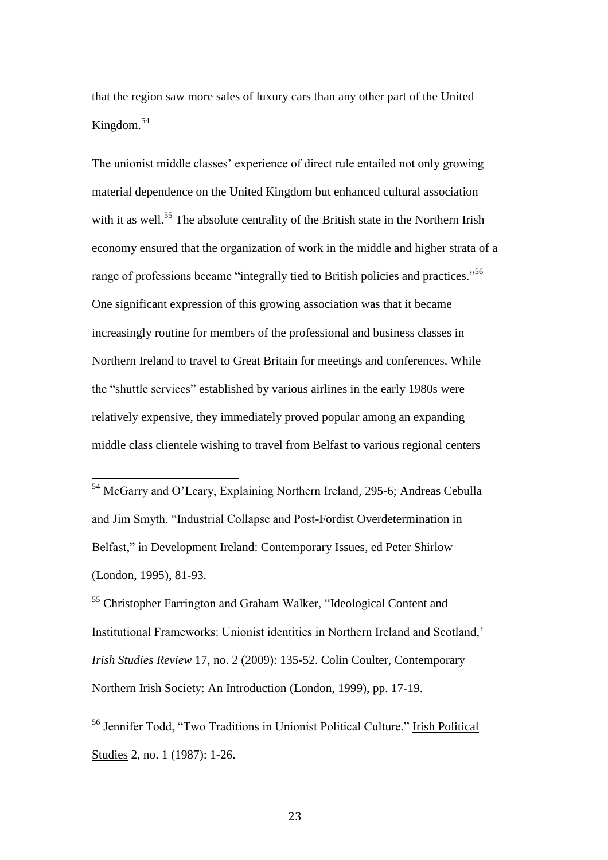that the region saw more sales of luxury cars than any other part of the United Kingdom.<sup>54</sup>

The unionist middle classes' experience of direct rule entailed not only growing material dependence on the United Kingdom but enhanced cultural association with it as well.<sup>55</sup> The absolute centrality of the British state in the Northern Irish economy ensured that the organization of work in the middle and higher strata of a range of professions became "integrally tied to British policies and practices."<sup>56</sup> One significant expression of this growing association was that it became increasingly routine for members of the professional and business classes in Northern Ireland to travel to Great Britain for meetings and conferences. While the "shuttle services" established by various airlines in the early 1980s were relatively expensive, they immediately proved popular among an expanding middle class clientele wishing to travel from Belfast to various regional centers

<sup>54</sup> McGarry and O'Leary, Explaining Northern Ireland*,* 295-6; Andreas Cebulla and Jim Smyth. "Industrial Collapse and Post-Fordist Overdetermination in Belfast," in Development Ireland: Contemporary Issues*,* ed Peter Shirlow (London, 1995), 81-93.

 $\overline{a}$ 

<sup>55</sup> Christopher Farrington and Graham Walker, "Ideological Content and Institutional Frameworks: Unionist identities in Northern Ireland and Scotland,' *Irish Studies Review* 17, no. 2 (2009): 135-52. Colin Coulter, Contemporary Northern Irish Society: An Introduction (London, 1999), pp. 17-19.

<sup>56</sup> Jennifer Todd, "Two Traditions in Unionist Political Culture," Irish Political Studies 2, no. 1 (1987): 1-26.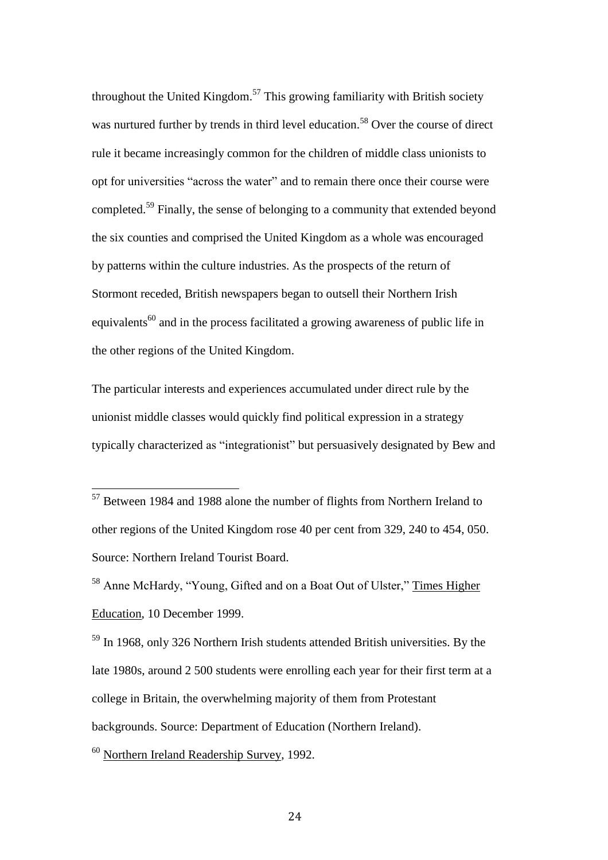throughout the United Kingdom.<sup>57</sup> This growing familiarity with British society was nurtured further by trends in third level education.<sup>58</sup> Over the course of direct rule it became increasingly common for the children of middle class unionists to opt for universities "across the water" and to remain there once their course were completed.<sup>59</sup> Finally, the sense of belonging to a community that extended beyond the six counties and comprised the United Kingdom as a whole was encouraged by patterns within the culture industries. As the prospects of the return of Stormont receded, British newspapers began to outsell their Northern Irish equivalents<sup>60</sup> and in the process facilitated a growing awareness of public life in the other regions of the United Kingdom.

The particular interests and experiences accumulated under direct rule by the unionist middle classes would quickly find political expression in a strategy typically characterized as "integrationist" but persuasively designated by Bew and

<sup>58</sup> Anne McHardy, "Young, Gifted and on a Boat Out of Ulster," Times Higher Education, 10 December 1999.

<sup>59</sup> In 1968, only 326 Northern Irish students attended British universities. By the late 1980s, around 2 500 students were enrolling each year for their first term at a college in Britain, the overwhelming majority of them from Protestant backgrounds. Source: Department of Education (Northern Ireland).

<sup>60</sup> Northern Ireland Readership Survey, 1992.

<sup>&</sup>lt;sup>57</sup> Between 1984 and 1988 alone the number of flights from Northern Ireland to other regions of the United Kingdom rose 40 per cent from 329, 240 to 454, 050. Source: Northern Ireland Tourist Board.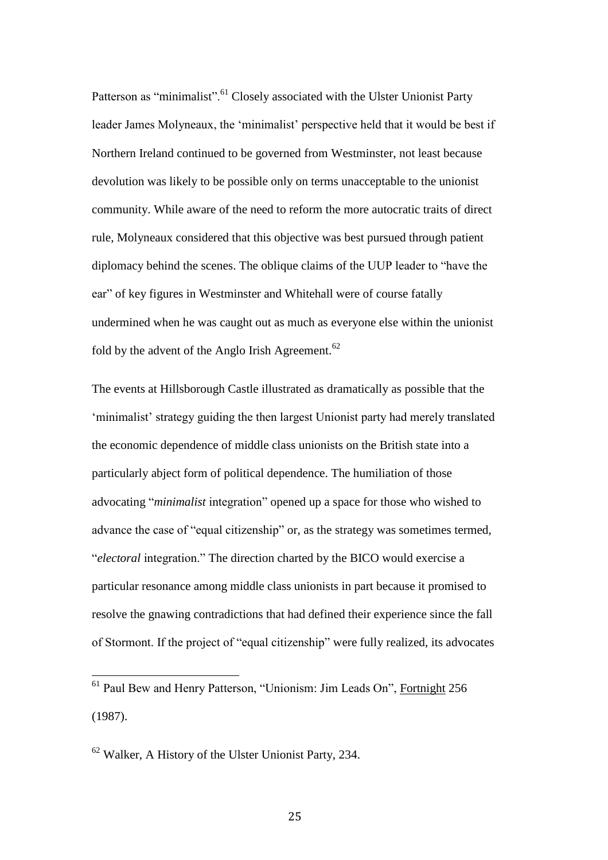Patterson as "minimalist".<sup>61</sup> Closely associated with the Ulster Unionist Party leader James Molyneaux, the 'minimalist' perspective held that it would be best if Northern Ireland continued to be governed from Westminster, not least because devolution was likely to be possible only on terms unacceptable to the unionist community. While aware of the need to reform the more autocratic traits of direct rule, Molyneaux considered that this objective was best pursued through patient diplomacy behind the scenes. The oblique claims of the UUP leader to "have the ear" of key figures in Westminster and Whitehall were of course fatally undermined when he was caught out as much as everyone else within the unionist fold by the advent of the Anglo Irish Agreement.<sup>62</sup>

The events at Hillsborough Castle illustrated as dramatically as possible that the 'minimalist' strategy guiding the then largest Unionist party had merely translated the economic dependence of middle class unionists on the British state into a particularly abject form of political dependence. The humiliation of those advocating "*minimalist* integration" opened up a space for those who wished to advance the case of "equal citizenship" or, as the strategy was sometimes termed, "*electoral* integration." The direction charted by the BICO would exercise a particular resonance among middle class unionists in part because it promised to resolve the gnawing contradictions that had defined their experience since the fall of Stormont. If the project of "equal citizenship" were fully realized, its advocates

<sup>61</sup> Paul Bew and Henry Patterson, "Unionism: Jim Leads On", Fortnight 256 (1987).

 $62$  Walker, A History of the Ulster Unionist Party, 234.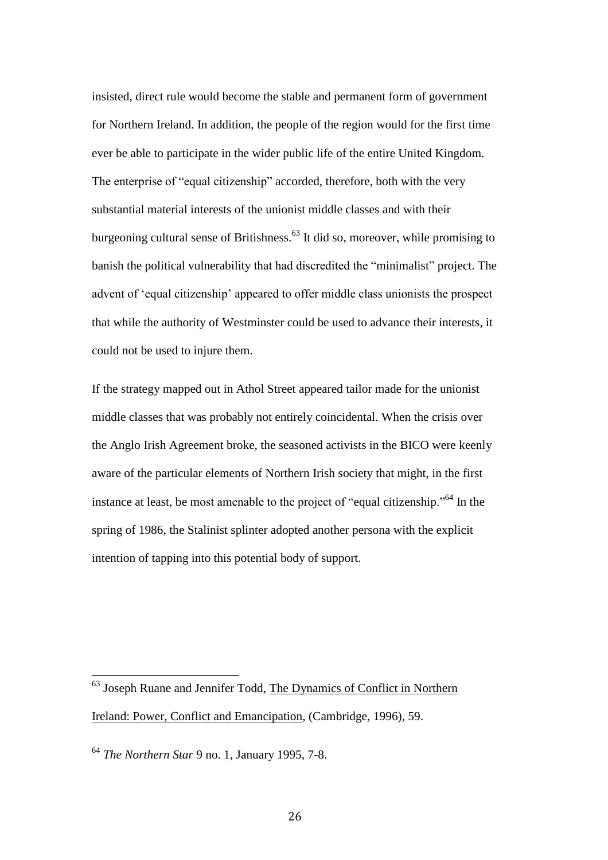insisted, direct rule would become the stable and permanent form of government for Northern Ireland. In addition, the people of the region would for the first time ever be able to participate in the wider public life of the entire United Kingdom. The enterprise of "equal citizenship" accorded, therefore, both with the very substantial material interests of the unionist middle classes and with their burgeoning cultural sense of Britishness.<sup>63</sup> It did so, moreover, while promising to banish the political vulnerability that had discredited the "minimalist" project. The advent of 'equal citizenship' appeared to offer middle class unionists the prospect that while the authority of Westminster could be used to advance their interests, it could not be used to injure them.

If the strategy mapped out in Athol Street appeared tailor made for the unionist middle classes that was probably not entirely coincidental. When the crisis over the Anglo Irish Agreement broke, the seasoned activists in the BICO were keenly aware of the particular elements of Northern Irish society that might, in the first instance at least, be most amenable to the project of "equal citizenship."<sup>64</sup> In the spring of 1986, the Stalinist splinter adopted another persona with the explicit intention of tapping into this potential body of support.

<sup>&</sup>lt;sup>63</sup> Joseph Ruane and Jennifer Todd, The Dynamics of Conflict in Northern Ireland: Power, Conflict and Emancipation, (Cambridge, 1996), 59.

<sup>64</sup> *The Northern Star* 9 no. 1, January 1995, 7-8.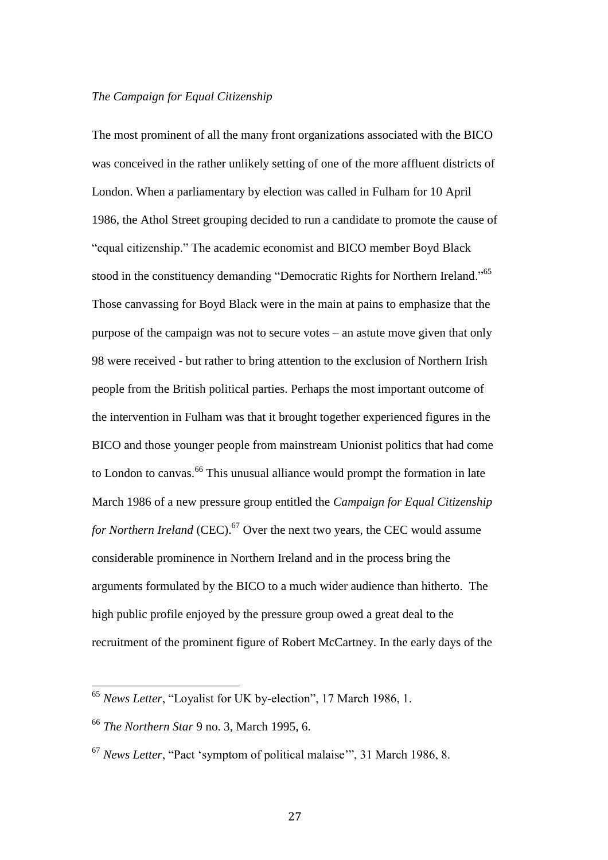### *The Campaign for Equal Citizenship*

The most prominent of all the many front organizations associated with the BICO was conceived in the rather unlikely setting of one of the more affluent districts of London. When a parliamentary by election was called in Fulham for 10 April 1986, the Athol Street grouping decided to run a candidate to promote the cause of "equal citizenship." The academic economist and BICO member Boyd Black stood in the constituency demanding "Democratic Rights for Northern Ireland."<sup>65</sup> Those canvassing for Boyd Black were in the main at pains to emphasize that the purpose of the campaign was not to secure votes – an astute move given that only 98 were received - but rather to bring attention to the exclusion of Northern Irish people from the British political parties. Perhaps the most important outcome of the intervention in Fulham was that it brought together experienced figures in the BICO and those younger people from mainstream Unionist politics that had come to London to canvas.<sup>66</sup> This unusual alliance would prompt the formation in late March 1986 of a new pressure group entitled the *Campaign for Equal Citizenship for Northern Ireland* (CEC).<sup>67</sup> Over the next two years, the CEC would assume considerable prominence in Northern Ireland and in the process bring the arguments formulated by the BICO to a much wider audience than hitherto. The high public profile enjoyed by the pressure group owed a great deal to the recruitment of the prominent figure of Robert McCartney. In the early days of the

<sup>65</sup> *News Letter*, "Loyalist for UK by-election", 17 March 1986, 1.

<sup>66</sup> *The Northern Star* 9 no. 3, March 1995, 6.

<sup>67</sup> *News Letter*, "Pact 'symptom of political malaise'", 31 March 1986, 8.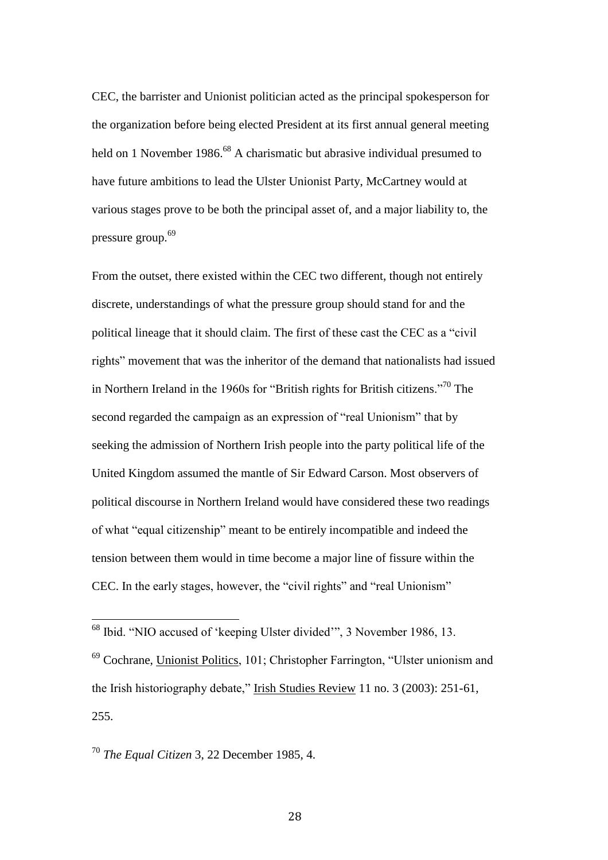CEC, the barrister and Unionist politician acted as the principal spokesperson for the organization before being elected President at its first annual general meeting held on 1 November 1986.<sup>68</sup> A charismatic but abrasive individual presumed to have future ambitions to lead the Ulster Unionist Party, McCartney would at various stages prove to be both the principal asset of, and a major liability to, the pressure group.<sup>69</sup>

From the outset, there existed within the CEC two different, though not entirely discrete, understandings of what the pressure group should stand for and the political lineage that it should claim. The first of these cast the CEC as a "civil rights" movement that was the inheritor of the demand that nationalists had issued in Northern Ireland in the 1960s for "British rights for British citizens."<sup>70</sup> The second regarded the campaign as an expression of "real Unionism" that by seeking the admission of Northern Irish people into the party political life of the United Kingdom assumed the mantle of Sir Edward Carson. Most observers of political discourse in Northern Ireland would have considered these two readings of what "equal citizenship" meant to be entirely incompatible and indeed the tension between them would in time become a major line of fissure within the CEC. In the early stages, however, the "civil rights" and "real Unionism"

<sup>69</sup> Cochrane, Unionist Politics, 101; Christopher Farrington, "Ulster unionism and the Irish historiography debate," Irish Studies Review 11 no. 3 (2003): 251-61, 255.

<sup>70</sup> *The Equal Citizen* 3, 22 December 1985, 4.

 $\overline{a}$ 

28

<sup>&</sup>lt;sup>68</sup> Ibid. "NIO accused of 'keeping Ulster divided'", 3 November 1986, 13.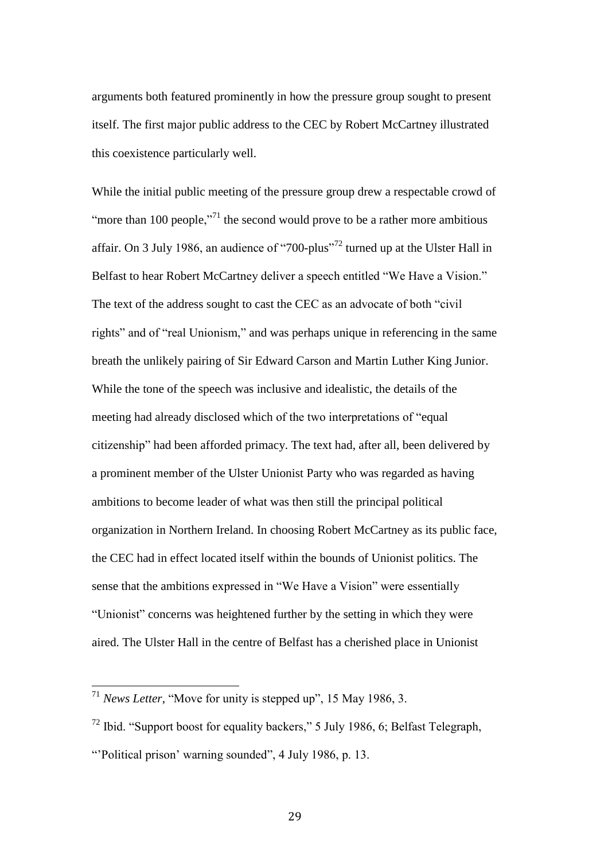arguments both featured prominently in how the pressure group sought to present itself. The first major public address to the CEC by Robert McCartney illustrated this coexistence particularly well.

While the initial public meeting of the pressure group drew a respectable crowd of "more than 100 people, $\cdot$ <sup>71</sup> the second would prove to be a rather more ambitious affair. On 3 July 1986, an audience of "700-plus"<sup>72</sup> turned up at the Ulster Hall in Belfast to hear Robert McCartney deliver a speech entitled "We Have a Vision." The text of the address sought to cast the CEC as an advocate of both "civil rights" and of "real Unionism," and was perhaps unique in referencing in the same breath the unlikely pairing of Sir Edward Carson and Martin Luther King Junior. While the tone of the speech was inclusive and idealistic, the details of the meeting had already disclosed which of the two interpretations of "equal citizenship" had been afforded primacy. The text had, after all, been delivered by a prominent member of the Ulster Unionist Party who was regarded as having ambitions to become leader of what was then still the principal political organization in Northern Ireland. In choosing Robert McCartney as its public face, the CEC had in effect located itself within the bounds of Unionist politics. The sense that the ambitions expressed in "We Have a Vision" were essentially "Unionist" concerns was heightened further by the setting in which they were aired. The Ulster Hall in the centre of Belfast has a cherished place in Unionist

<sup>71</sup> *News Letter*, "Move for unity is stepped up", 15 May 1986, 3.

 $^{72}$  Ibid. "Support boost for equality backers," 5 July 1986, 6; Belfast Telegraph, "'Political prison' warning sounded", 4 July 1986, p. 13.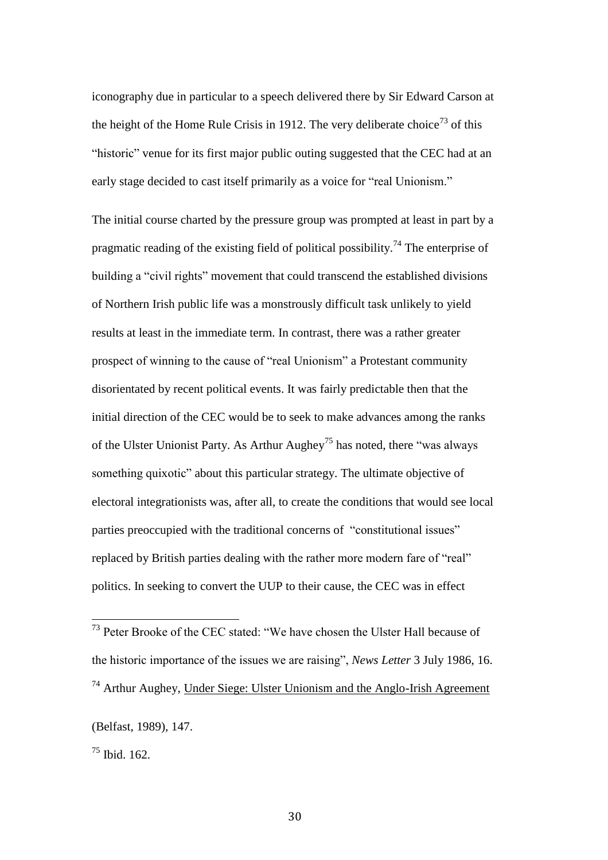iconography due in particular to a speech delivered there by Sir Edward Carson at the height of the Home Rule Crisis in 1912. The very deliberate choice<sup>73</sup> of this "historic" venue for its first major public outing suggested that the CEC had at an early stage decided to cast itself primarily as a voice for "real Unionism."

The initial course charted by the pressure group was prompted at least in part by a pragmatic reading of the existing field of political possibility.<sup>74</sup> The enterprise of building a "civil rights" movement that could transcend the established divisions of Northern Irish public life was a monstrously difficult task unlikely to yield results at least in the immediate term. In contrast, there was a rather greater prospect of winning to the cause of "real Unionism" a Protestant community disorientated by recent political events. It was fairly predictable then that the initial direction of the CEC would be to seek to make advances among the ranks of the Ulster Unionist Party. As Arthur Aughey<sup>75</sup> has noted, there "was always" something quixotic" about this particular strategy. The ultimate objective of electoral integrationists was, after all, to create the conditions that would see local parties preoccupied with the traditional concerns of "constitutional issues" replaced by British parties dealing with the rather more modern fare of "real" politics. In seeking to convert the UUP to their cause, the CEC was in effect

 $^{75}$  Ibid. 162.

 $73$  Peter Brooke of the CEC stated: "We have chosen the Ulster Hall because of the historic importance of the issues we are raising", *News Letter* 3 July 1986, 16.  $74$  Arthur Aughey, Under Siege: Ulster Unionism and the Anglo-Irish Agreement

<sup>(</sup>Belfast, 1989), 147.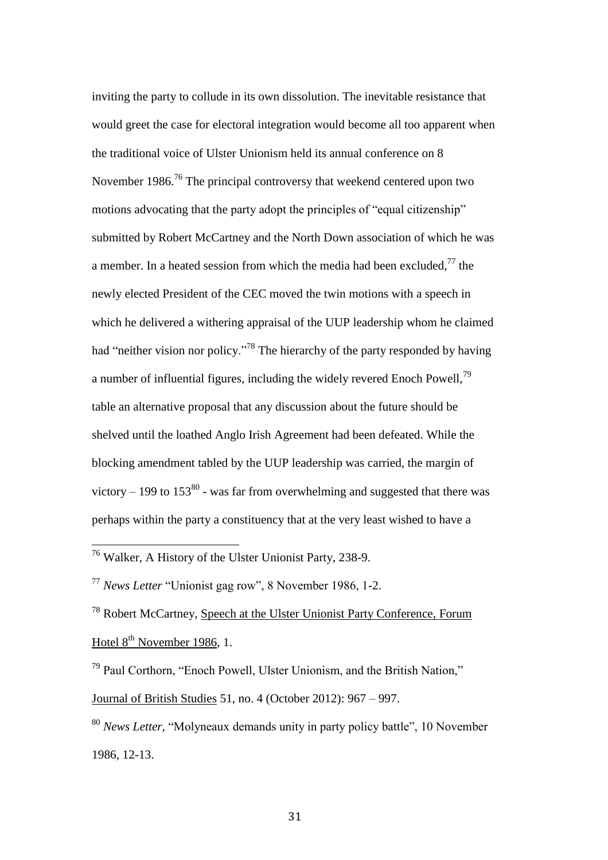inviting the party to collude in its own dissolution. The inevitable resistance that would greet the case for electoral integration would become all too apparent when the traditional voice of Ulster Unionism held its annual conference on 8 November  $1986$ <sup>76</sup>. The principal controversy that weekend centered upon two motions advocating that the party adopt the principles of "equal citizenship" submitted by Robert McCartney and the North Down association of which he was a member. In a heated session from which the media had been excluded, $^{77}$  the newly elected President of the CEC moved the twin motions with a speech in which he delivered a withering appraisal of the UUP leadership whom he claimed had "neither vision nor policy."<sup>78</sup> The hierarchy of the party responded by having a number of influential figures, including the widely revered Enoch Powell,<sup>79</sup> table an alternative proposal that any discussion about the future should be shelved until the loathed Anglo Irish Agreement had been defeated. While the blocking amendment tabled by the UUP leadership was carried, the margin of victory – 199 to  $153^{80}$  - was far from overwhelming and suggested that there was perhaps within the party a constituency that at the very least wished to have a

 $\overline{a}$ 

<sup>78</sup> Robert McCartney, Speech at the Ulster Unionist Party Conference, Forum Hotel  $8<sup>th</sup>$  November 1986, 1.

<sup>79</sup> Paul Corthorn, "Enoch Powell, Ulster Unionism, and the British Nation," Journal of British Studies 51, no. 4 (October 2012): 967 – 997.

<sup>80</sup> *News Letter,* "Molyneaux demands unity in party policy battle", 10 November 1986, 12-13.

<sup>&</sup>lt;sup>76</sup> Walker, A History of the Ulster Unionist Party, 238-9.

<sup>77</sup> *News Letter* "Unionist gag row", 8 November 1986, 1-2.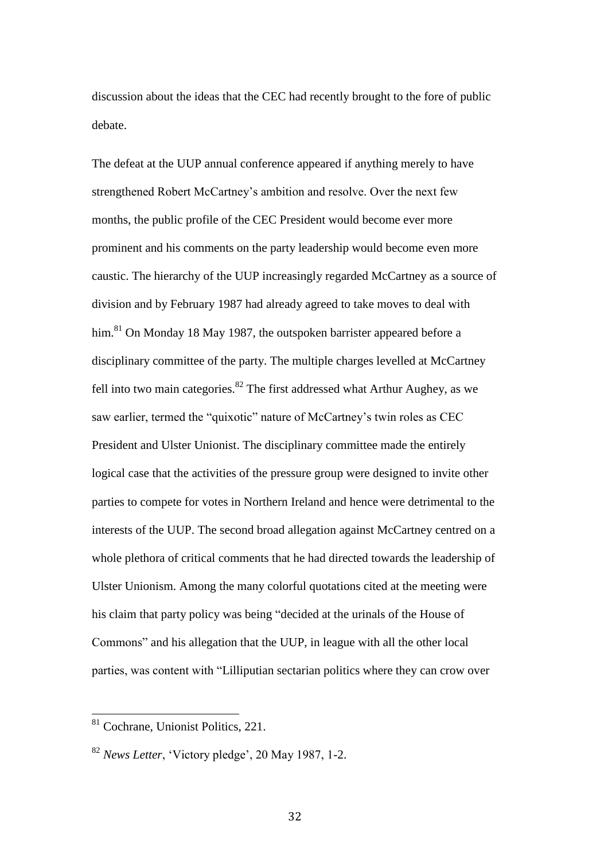discussion about the ideas that the CEC had recently brought to the fore of public debate.

The defeat at the UUP annual conference appeared if anything merely to have strengthened Robert McCartney's ambition and resolve. Over the next few months, the public profile of the CEC President would become ever more prominent and his comments on the party leadership would become even more caustic. The hierarchy of the UUP increasingly regarded McCartney as a source of division and by February 1987 had already agreed to take moves to deal with him.<sup>81</sup> On Monday 18 May 1987, the outspoken barrister appeared before a disciplinary committee of the party. The multiple charges levelled at McCartney fell into two main categories. $82$  The first addressed what Arthur Aughey, as we saw earlier, termed the "quixotic" nature of McCartney's twin roles as CEC President and Ulster Unionist. The disciplinary committee made the entirely logical case that the activities of the pressure group were designed to invite other parties to compete for votes in Northern Ireland and hence were detrimental to the interests of the UUP. The second broad allegation against McCartney centred on a whole plethora of critical comments that he had directed towards the leadership of Ulster Unionism. Among the many colorful quotations cited at the meeting were his claim that party policy was being "decided at the urinals of the House of Commons" and his allegation that the UUP, in league with all the other local parties, was content with "Lilliputian sectarian politics where they can crow over

<sup>81</sup> Cochrane, Unionist Politics, 221.

<sup>82</sup> *News Letter*, 'Victory pledge', 20 May 1987, 1-2.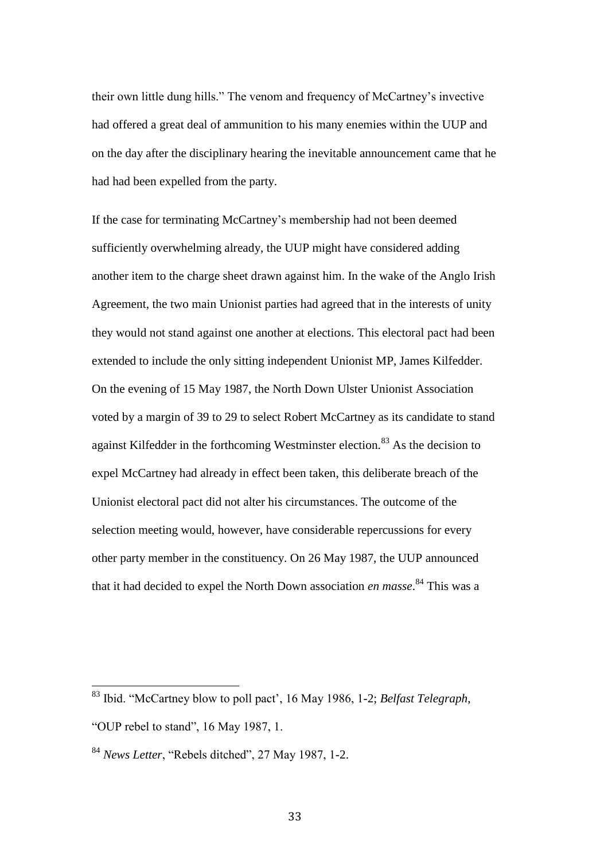their own little dung hills." The venom and frequency of McCartney's invective had offered a great deal of ammunition to his many enemies within the UUP and on the day after the disciplinary hearing the inevitable announcement came that he had had been expelled from the party.

If the case for terminating McCartney's membership had not been deemed sufficiently overwhelming already, the UUP might have considered adding another item to the charge sheet drawn against him. In the wake of the Anglo Irish Agreement, the two main Unionist parties had agreed that in the interests of unity they would not stand against one another at elections. This electoral pact had been extended to include the only sitting independent Unionist MP, James Kilfedder. On the evening of 15 May 1987, the North Down Ulster Unionist Association voted by a margin of 39 to 29 to select Robert McCartney as its candidate to stand against Kilfedder in the forthcoming Westminster election.<sup>83</sup> As the decision to expel McCartney had already in effect been taken, this deliberate breach of the Unionist electoral pact did not alter his circumstances. The outcome of the selection meeting would, however, have considerable repercussions for every other party member in the constituency. On 26 May 1987, the UUP announced that it had decided to expel the North Down association *en masse*. <sup>84</sup> This was a

 $\overline{a}$ <sup>83</sup> Ibid. "McCartney blow to poll pact', 16 May 1986, 1-2; *Belfast Telegraph*, "OUP rebel to stand", 16 May 1987, 1.

<sup>84</sup> *News Letter*, "Rebels ditched", 27 May 1987, 1-2.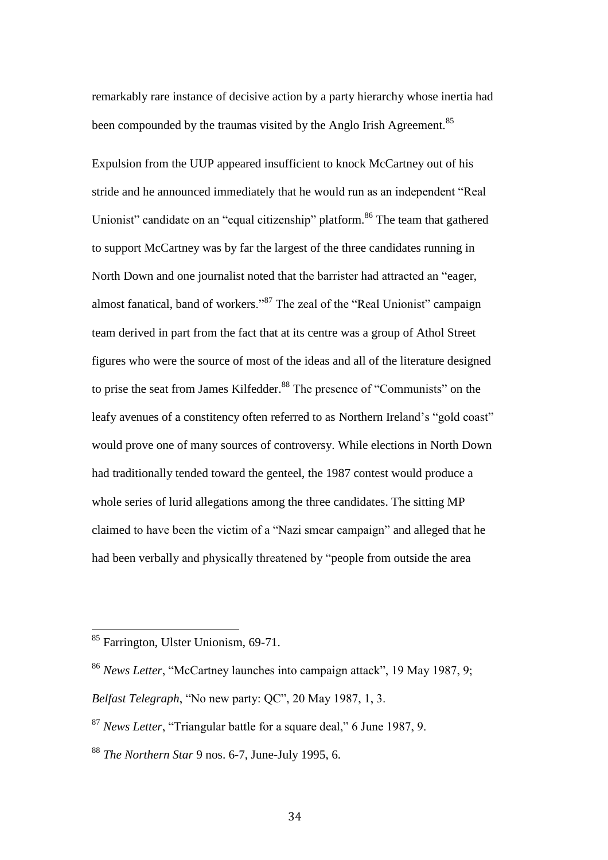remarkably rare instance of decisive action by a party hierarchy whose inertia had been compounded by the traumas visited by the Anglo Irish Agreement.<sup>85</sup>

Expulsion from the UUP appeared insufficient to knock McCartney out of his stride and he announced immediately that he would run as an independent "Real Unionist" candidate on an "equal citizenship" platform.<sup>86</sup> The team that gathered to support McCartney was by far the largest of the three candidates running in North Down and one journalist noted that the barrister had attracted an "eager, almost fanatical, band of workers."<sup>87</sup> The zeal of the "Real Unionist" campaign team derived in part from the fact that at its centre was a group of Athol Street figures who were the source of most of the ideas and all of the literature designed to prise the seat from James Kilfedder.<sup>88</sup> The presence of "Communists" on the leafy avenues of a constitency often referred to as Northern Ireland's "gold coast" would prove one of many sources of controversy. While elections in North Down had traditionally tended toward the genteel, the 1987 contest would produce a whole series of lurid allegations among the three candidates. The sitting MP claimed to have been the victim of a "Nazi smear campaign" and alleged that he had been verbally and physically threatened by "people from outside the area

<sup>85</sup> Farrington, Ulster Unionism, 69-71.

<sup>86</sup> *News Letter*, "McCartney launches into campaign attack", 19 May 1987, 9;

*Belfast Telegraph*, "No new party: QC", 20 May 1987, 1, 3.

<sup>87</sup> *News Letter*, "Triangular battle for a square deal," 6 June 1987, 9.

<sup>88</sup> *The Northern Star* 9 nos. 6-7, June-July 1995, 6.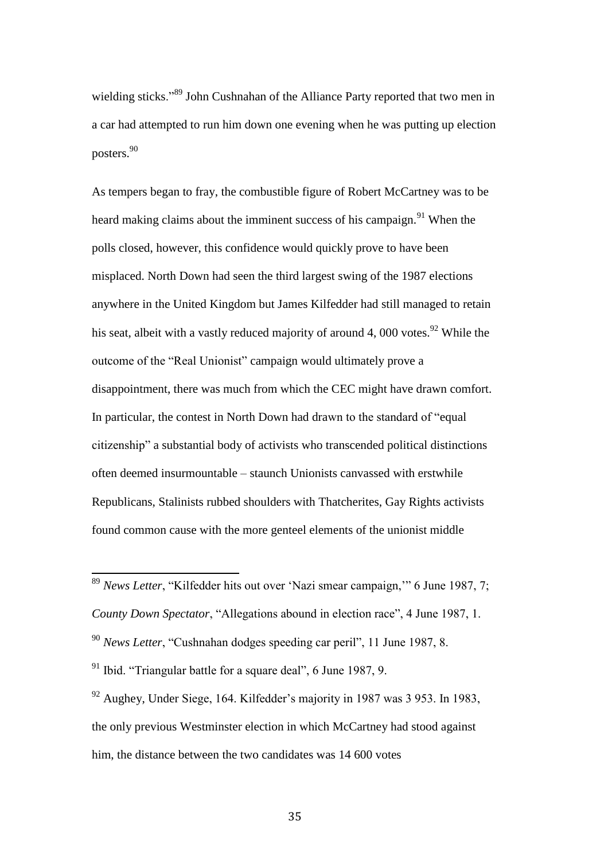wielding sticks."<sup>89</sup> John Cushnahan of the Alliance Party reported that two men in a car had attempted to run him down one evening when he was putting up election posters.<sup>90</sup>

As tempers began to fray, the combustible figure of Robert McCartney was to be heard making claims about the imminent success of his campaign.<sup>91</sup> When the polls closed, however, this confidence would quickly prove to have been misplaced. North Down had seen the third largest swing of the 1987 elections anywhere in the United Kingdom but James Kilfedder had still managed to retain his seat, albeit with a vastly reduced majority of around 4, 000 votes.<sup>92</sup> While the outcome of the "Real Unionist" campaign would ultimately prove a disappointment, there was much from which the CEC might have drawn comfort. In particular, the contest in North Down had drawn to the standard of "equal citizenship" a substantial body of activists who transcended political distinctions often deemed insurmountable – staunch Unionists canvassed with erstwhile Republicans, Stalinists rubbed shoulders with Thatcherites, Gay Rights activists found common cause with the more genteel elements of the unionist middle

<sup>89</sup> *News Letter*, "Kilfedder hits out over 'Nazi smear campaign,'" 6 June 1987, 7; *County Down Spectator*, "Allegations abound in election race", 4 June 1987, 1. <sup>90</sup> *News Letter*, "Cushnahan dodges speeding car peril", 11 June 1987, 8.

 $\overline{a}$ 

 $92$  Aughey, Under Siege, 164. Kilfedder's majority in 1987 was 3 953. In 1983, the only previous Westminster election in which McCartney had stood against him, the distance between the two candidates was 14 600 votes

<sup>91</sup> Ibid. "Triangular battle for a square deal", 6 June 1987, 9.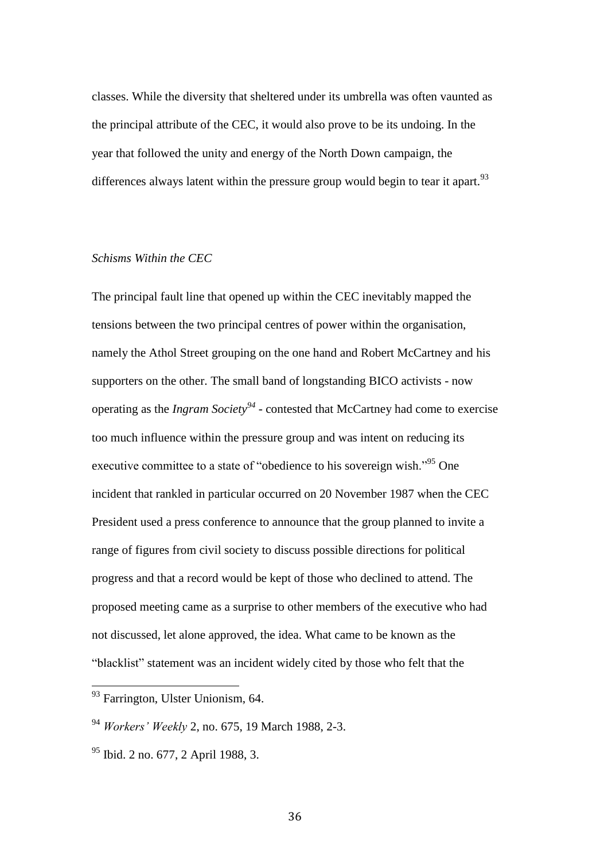classes. While the diversity that sheltered under its umbrella was often vaunted as the principal attribute of the CEC, it would also prove to be its undoing. In the year that followed the unity and energy of the North Down campaign, the differences always latent within the pressure group would begin to tear it apart.<sup>93</sup>

# *Schisms Within the CEC*

The principal fault line that opened up within the CEC inevitably mapped the tensions between the two principal centres of power within the organisation, namely the Athol Street grouping on the one hand and Robert McCartney and his supporters on the other. The small band of longstanding BICO activists - now operating as the *Ingram Society<sup>94</sup>* - contested that McCartney had come to exercise too much influence within the pressure group and was intent on reducing its executive committee to a state of "obedience to his sovereign wish."<sup>95</sup> One incident that rankled in particular occurred on 20 November 1987 when the CEC President used a press conference to announce that the group planned to invite a range of figures from civil society to discuss possible directions for political progress and that a record would be kept of those who declined to attend. The proposed meeting came as a surprise to other members of the executive who had not discussed, let alone approved, the idea. What came to be known as the "blacklist" statement was an incident widely cited by those who felt that the

<sup>&</sup>lt;sup>93</sup> Farrington, Ulster Unionism, 64.

<sup>94</sup> *Workers' Weekly* 2, no. 675, 19 March 1988, 2-3.

 $95$  Ibid. 2 no. 677, 2 April 1988, 3.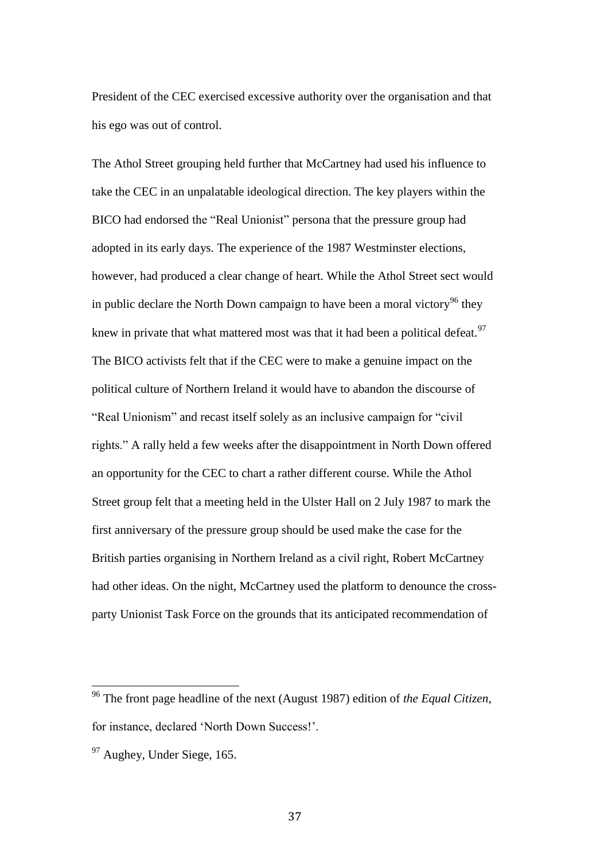President of the CEC exercised excessive authority over the organisation and that his ego was out of control.

The Athol Street grouping held further that McCartney had used his influence to take the CEC in an unpalatable ideological direction. The key players within the BICO had endorsed the "Real Unionist" persona that the pressure group had adopted in its early days. The experience of the 1987 Westminster elections, however, had produced a clear change of heart. While the Athol Street sect would in public declare the North Down campaign to have been a moral victory<sup>96</sup> they knew in private that what mattered most was that it had been a political defeat.<sup>97</sup> The BICO activists felt that if the CEC were to make a genuine impact on the political culture of Northern Ireland it would have to abandon the discourse of "Real Unionism" and recast itself solely as an inclusive campaign for "civil rights." A rally held a few weeks after the disappointment in North Down offered an opportunity for the CEC to chart a rather different course. While the Athol Street group felt that a meeting held in the Ulster Hall on 2 July 1987 to mark the first anniversary of the pressure group should be used make the case for the British parties organising in Northern Ireland as a civil right, Robert McCartney had other ideas. On the night, McCartney used the platform to denounce the crossparty Unionist Task Force on the grounds that its anticipated recommendation of

<sup>96</sup> The front page headline of the next (August 1987) edition of *the Equal Citizen*, for instance, declared 'North Down Success!'.

 $97$  Aughey, Under Siege, 165.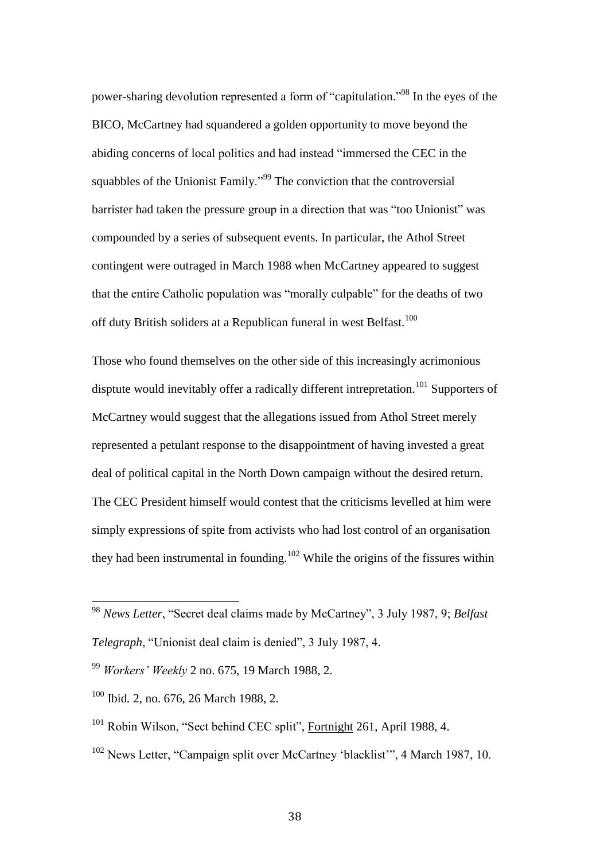power-sharing devolution represented a form of "capitulation."<sup>98</sup> In the eyes of the BICO, McCartney had squandered a golden opportunity to move beyond the abiding concerns of local politics and had instead "immersed the CEC in the squabbles of the Unionist Family."<sup>99</sup> The conviction that the controversial barrister had taken the pressure group in a direction that was "too Unionist" was compounded by a series of subsequent events. In particular, the Athol Street contingent were outraged in March 1988 when McCartney appeared to suggest that the entire Catholic population was "morally culpable" for the deaths of two off duty British soliders at a Republican funeral in west Belfast.<sup>100</sup>

Those who found themselves on the other side of this increasingly acrimonious disptute would inevitably offer a radically different intrepretation.<sup>101</sup> Supporters of McCartney would suggest that the allegations issued from Athol Street merely represented a petulant response to the disappointment of having invested a great deal of political capital in the North Down campaign without the desired return. The CEC President himself would contest that the criticisms levelled at him were simply expressions of spite from activists who had lost control of an organisation they had been instrumental in founding.<sup>102</sup> While the origins of the fissures within

<sup>102</sup> News Letter, "Campaign split over McCartney 'blacklist'", 4 March 1987, 10.

<sup>98</sup> *News Letter*, "Secret deal claims made by McCartney", 3 July 1987, 9; *Belfast* 

*Telegraph*, "Unionist deal claim is denied", 3 July 1987, 4.

<sup>99</sup> *Workers' Weekly* 2 no. 675, 19 March 1988, 2.

<sup>100</sup> Ibid*.* 2, no. 676, 26 March 1988, 2.

<sup>&</sup>lt;sup>101</sup> Robin Wilson, "Sect behind CEC split", Fortnight 261, April 1988, 4.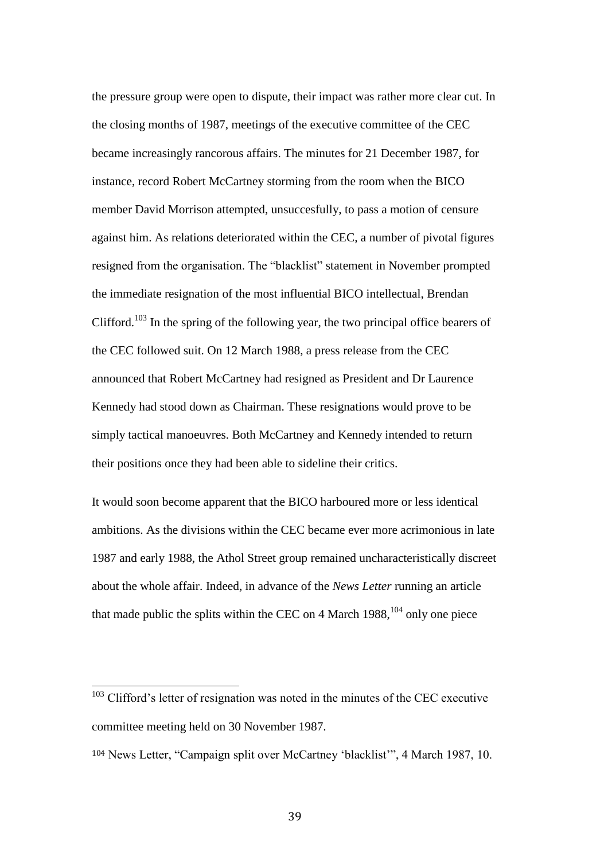the pressure group were open to dispute, their impact was rather more clear cut. In the closing months of 1987, meetings of the executive committee of the CEC became increasingly rancorous affairs. The minutes for 21 December 1987, for instance, record Robert McCartney storming from the room when the BICO member David Morrison attempted, unsuccesfully, to pass a motion of censure against him. As relations deteriorated within the CEC, a number of pivotal figures resigned from the organisation. The "blacklist" statement in November prompted the immediate resignation of the most influential BICO intellectual, Brendan Clifford.<sup>103</sup> In the spring of the following year, the two principal office bearers of the CEC followed suit. On 12 March 1988, a press release from the CEC announced that Robert McCartney had resigned as President and Dr Laurence Kennedy had stood down as Chairman. These resignations would prove to be simply tactical manoeuvres. Both McCartney and Kennedy intended to return their positions once they had been able to sideline their critics.

It would soon become apparent that the BICO harboured more or less identical ambitions. As the divisions within the CEC became ever more acrimonious in late 1987 and early 1988, the Athol Street group remained uncharacteristically discreet about the whole affair. Indeed, in advance of the *News Letter* running an article that made public the splits within the CEC on 4 March  $1988$ ,  $^{104}$  only one piece

 $103$  Clifford's letter of resignation was noted in the minutes of the CEC executive committee meeting held on 30 November 1987.

<sup>104</sup> News Letter, "Campaign split over McCartney 'blacklist'", 4 March 1987, 10.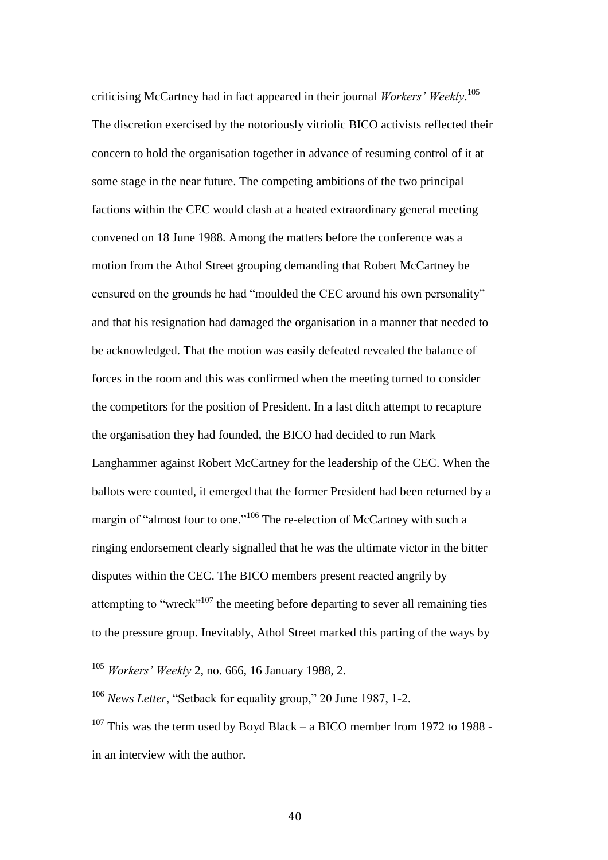criticising McCartney had in fact appeared in their journal *Workers' Weekly*. 105 The discretion exercised by the notoriously vitriolic BICO activists reflected their concern to hold the organisation together in advance of resuming control of it at some stage in the near future. The competing ambitions of the two principal factions within the CEC would clash at a heated extraordinary general meeting convened on 18 June 1988. Among the matters before the conference was a motion from the Athol Street grouping demanding that Robert McCartney be censured on the grounds he had "moulded the CEC around his own personality" and that his resignation had damaged the organisation in a manner that needed to be acknowledged. That the motion was easily defeated revealed the balance of forces in the room and this was confirmed when the meeting turned to consider the competitors for the position of President. In a last ditch attempt to recapture the organisation they had founded, the BICO had decided to run Mark Langhammer against Robert McCartney for the leadership of the CEC. When the ballots were counted, it emerged that the former President had been returned by a margin of "almost four to one."<sup>106</sup> The re-election of McCartney with such a ringing endorsement clearly signalled that he was the ultimate victor in the bitter disputes within the CEC. The BICO members present reacted angrily by attempting to "wreck"<sup>107</sup> the meeting before departing to sever all remaining ties to the pressure group. Inevitably, Athol Street marked this parting of the ways by

<sup>105</sup> *Workers' Weekly* 2, no. 666, 16 January 1988, 2.

<sup>106</sup> *News Letter*, "Setback for equality group," 20 June 1987, 1-2.

 $107$  This was the term used by Boyd Black – a BICO member from 1972 to 1988 in an interview with the author.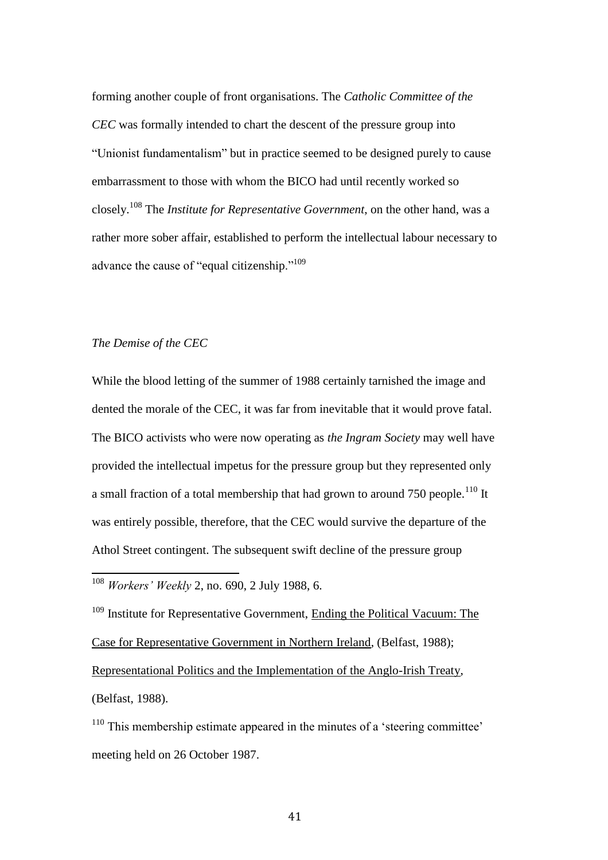forming another couple of front organisations. The *Catholic Committee of the CEC* was formally intended to chart the descent of the pressure group into "Unionist fundamentalism" but in practice seemed to be designed purely to cause embarrassment to those with whom the BICO had until recently worked so closely.<sup>108</sup> The *Institute for Representative Government*, on the other hand, was a rather more sober affair, established to perform the intellectual labour necessary to advance the cause of "equal citizenship."<sup>109</sup>

## *The Demise of the CEC*

 $\overline{a}$ 

While the blood letting of the summer of 1988 certainly tarnished the image and dented the morale of the CEC, it was far from inevitable that it would prove fatal. The BICO activists who were now operating as *the Ingram Society* may well have provided the intellectual impetus for the pressure group but they represented only a small fraction of a total membership that had grown to around 750 people.<sup>110</sup> It was entirely possible, therefore, that the CEC would survive the departure of the Athol Street contingent. The subsequent swift decline of the pressure group

<sup>108</sup> *Workers' Weekly* 2, no. 690, 2 July 1988, 6.

<sup>109</sup> Institute for Representative Government, Ending the Political Vacuum: The Case for Representative Government in Northern Ireland, (Belfast, 1988); Representational Politics and the Implementation of the Anglo-Irish Treaty, (Belfast, 1988).

<sup>110</sup> This membership estimate appeared in the minutes of a 'steering committee' meeting held on 26 October 1987.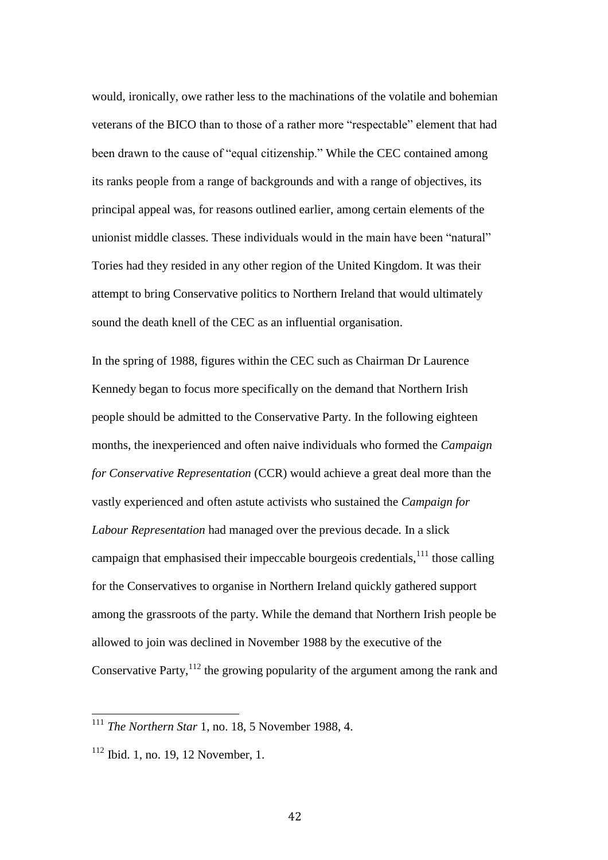would, ironically, owe rather less to the machinations of the volatile and bohemian veterans of the BICO than to those of a rather more "respectable" element that had been drawn to the cause of "equal citizenship." While the CEC contained among its ranks people from a range of backgrounds and with a range of objectives, its principal appeal was, for reasons outlined earlier, among certain elements of the unionist middle classes. These individuals would in the main have been "natural" Tories had they resided in any other region of the United Kingdom. It was their attempt to bring Conservative politics to Northern Ireland that would ultimately sound the death knell of the CEC as an influential organisation.

In the spring of 1988, figures within the CEC such as Chairman Dr Laurence Kennedy began to focus more specifically on the demand that Northern Irish people should be admitted to the Conservative Party. In the following eighteen months, the inexperienced and often naive individuals who formed the *Campaign for Conservative Representation* (CCR) would achieve a great deal more than the vastly experienced and often astute activists who sustained the *Campaign for Labour Representation* had managed over the previous decade. In a slick campaign that emphasised their impeccable bourgeois credentials,  $111$  those calling for the Conservatives to organise in Northern Ireland quickly gathered support among the grassroots of the party. While the demand that Northern Irish people be allowed to join was declined in November 1988 by the executive of the Conservative Party,<sup>112</sup> the growing popularity of the argument among the rank and

 $\overline{\phantom{a}}$ 

<sup>111</sup> *The Northern Star* 1, no. 18, 5 November 1988, 4.

 $112$  Ibid. 1, no. 19, 12 November, 1.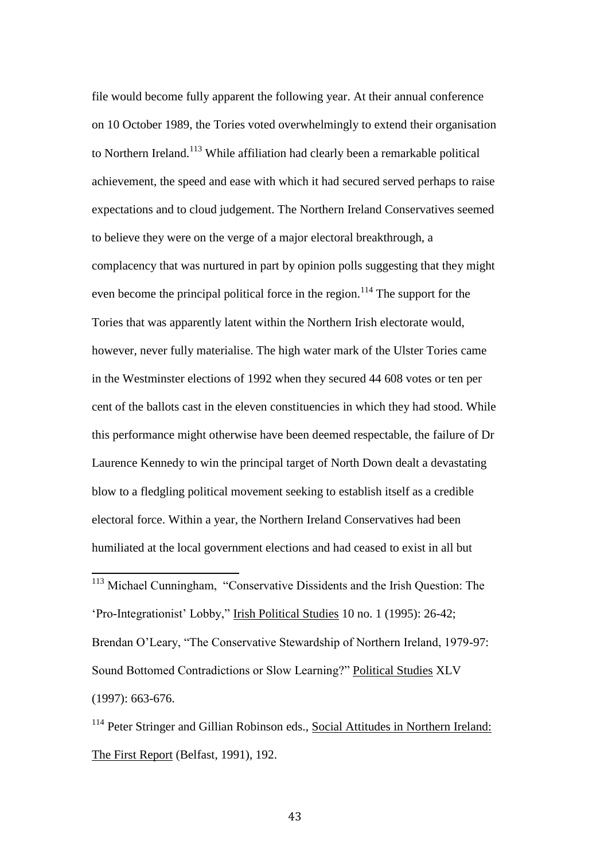file would become fully apparent the following year. At their annual conference on 10 October 1989, the Tories voted overwhelmingly to extend their organisation to Northern Ireland.<sup>113</sup> While affiliation had clearly been a remarkable political achievement, the speed and ease with which it had secured served perhaps to raise expectations and to cloud judgement. The Northern Ireland Conservatives seemed to believe they were on the verge of a major electoral breakthrough, a complacency that was nurtured in part by opinion polls suggesting that they might even become the principal political force in the region.<sup>114</sup> The support for the Tories that was apparently latent within the Northern Irish electorate would, however, never fully materialise. The high water mark of the Ulster Tories came in the Westminster elections of 1992 when they secured 44 608 votes or ten per cent of the ballots cast in the eleven constituencies in which they had stood. While this performance might otherwise have been deemed respectable, the failure of Dr Laurence Kennedy to win the principal target of North Down dealt a devastating blow to a fledgling political movement seeking to establish itself as a credible electoral force. Within a year, the Northern Ireland Conservatives had been humiliated at the local government elections and had ceased to exist in all but

<sup>113</sup> Michael Cunningham, "Conservative Dissidents and the Irish Question: The 'Pro-Integrationist' Lobby," Irish Political Studies 10 no. 1 (1995): 26-42; Brendan O'Leary, "The Conservative Stewardship of Northern Ireland, 1979-97: Sound Bottomed Contradictions or Slow Learning?" Political Studies XLV (1997): 663-676.

 $\overline{a}$ 

<sup>114</sup> Peter Stringer and Gillian Robinson eds., Social Attitudes in Northern Ireland: The First Report (Belfast, 1991), 192.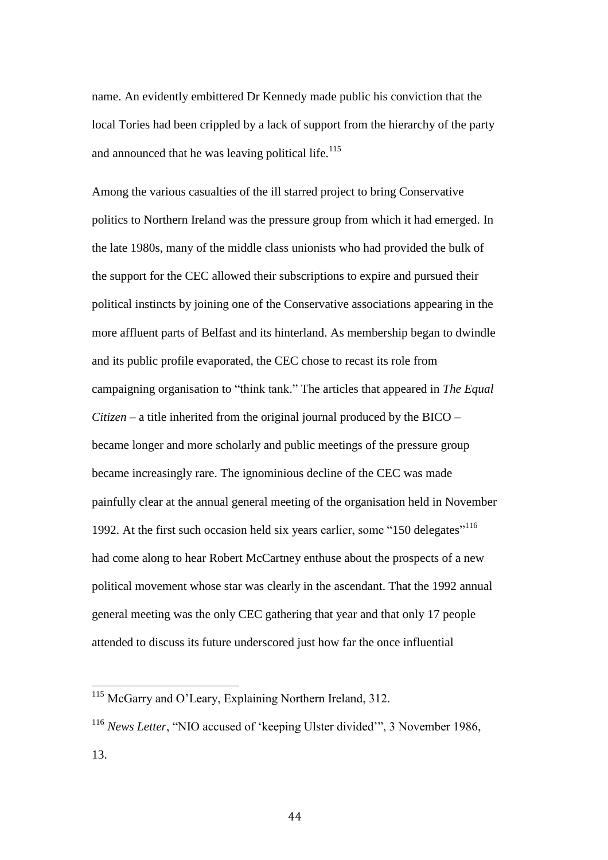name. An evidently embittered Dr Kennedy made public his conviction that the local Tories had been crippled by a lack of support from the hierarchy of the party and announced that he was leaving political life. $115$ 

Among the various casualties of the ill starred project to bring Conservative politics to Northern Ireland was the pressure group from which it had emerged. In the late 1980s, many of the middle class unionists who had provided the bulk of the support for the CEC allowed their subscriptions to expire and pursued their political instincts by joining one of the Conservative associations appearing in the more affluent parts of Belfast and its hinterland. As membership began to dwindle and its public profile evaporated, the CEC chose to recast its role from campaigning organisation to "think tank." The articles that appeared in *The Equal Citizen* – a title inherited from the original journal produced by the BICO – became longer and more scholarly and public meetings of the pressure group became increasingly rare. The ignominious decline of the CEC was made painfully clear at the annual general meeting of the organisation held in November 1992. At the first such occasion held six years earlier, some "150 delegates"<sup>116</sup> had come along to hear Robert McCartney enthuse about the prospects of a new political movement whose star was clearly in the ascendant. That the 1992 annual general meeting was the only CEC gathering that year and that only 17 people attended to discuss its future underscored just how far the once influential

 $\overline{\phantom{a}}$ 

<sup>&</sup>lt;sup>115</sup> McGarry and O'Leary, Explaining Northern Ireland, 312.

<sup>&</sup>lt;sup>116</sup> *News Letter*, "NIO accused of 'keeping Ulster divided'", 3 November 1986,

<sup>13.</sup>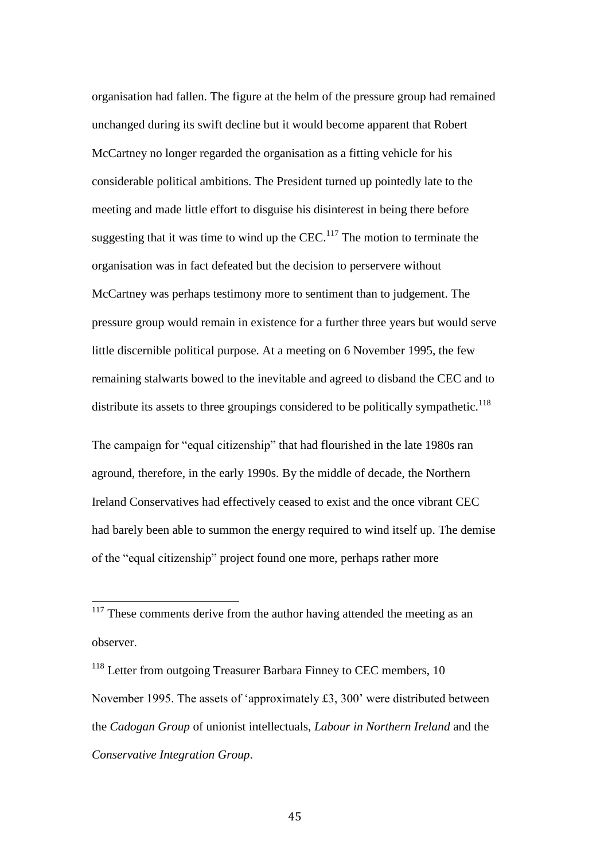organisation had fallen. The figure at the helm of the pressure group had remained unchanged during its swift decline but it would become apparent that Robert McCartney no longer regarded the organisation as a fitting vehicle for his considerable political ambitions. The President turned up pointedly late to the meeting and made little effort to disguise his disinterest in being there before suggesting that it was time to wind up the CEC.<sup>117</sup> The motion to terminate the organisation was in fact defeated but the decision to perservere without McCartney was perhaps testimony more to sentiment than to judgement. The pressure group would remain in existence for a further three years but would serve little discernible political purpose. At a meeting on 6 November 1995, the few remaining stalwarts bowed to the inevitable and agreed to disband the CEC and to distribute its assets to three groupings considered to be politically sympathetic.<sup>118</sup>

The campaign for "equal citizenship" that had flourished in the late 1980s ran aground, therefore, in the early 1990s. By the middle of decade, the Northern Ireland Conservatives had effectively ceased to exist and the once vibrant CEC had barely been able to summon the energy required to wind itself up. The demise of the "equal citizenship" project found one more, perhaps rather more

<sup>118</sup> Letter from outgoing Treasurer Barbara Finney to CEC members, 10 November 1995. The assets of 'approximately £3, 300' were distributed between the *Cadogan Group* of unionist intellectuals, *Labour in Northern Ireland* and the *Conservative Integration Group*.

 $117$  These comments derive from the author having attended the meeting as an observer.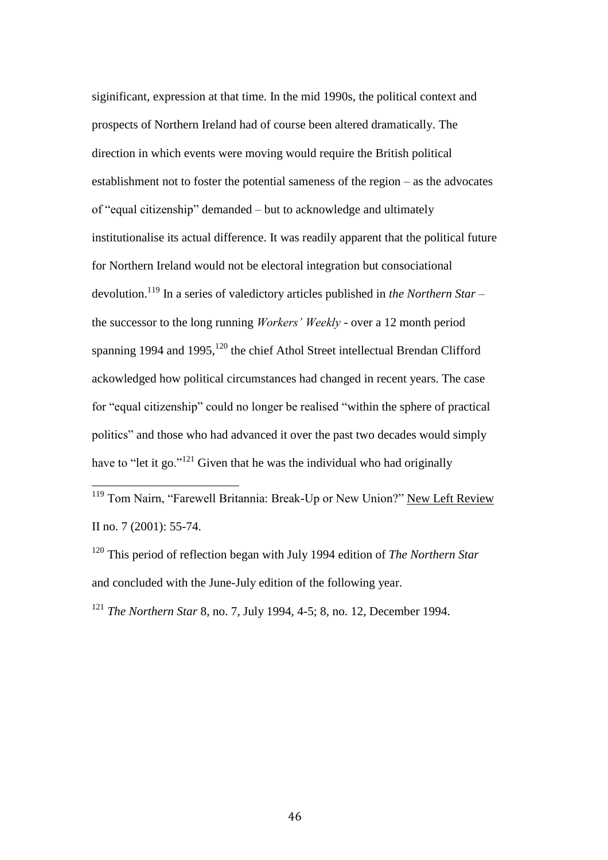siginificant, expression at that time. In the mid 1990s, the political context and prospects of Northern Ireland had of course been altered dramatically. The direction in which events were moving would require the British political establishment not to foster the potential sameness of the region – as the advocates of "equal citizenship" demanded – but to acknowledge and ultimately institutionalise its actual difference. It was readily apparent that the political future for Northern Ireland would not be electoral integration but consociational devolution.<sup>119</sup> In a series of valedictory articles published in *the Northern Star* – the successor to the long running *Workers' Weekly* - over a 12 month period spanning 1994 and 1995,<sup>120</sup> the chief Athol Street intellectual Brendan Clifford ackowledged how political circumstances had changed in recent years. The case for "equal citizenship" could no longer be realised "within the sphere of practical politics" and those who had advanced it over the past two decades would simply have to "let it go." $121$  Given that he was the individual who had originally

<sup>119</sup> Tom Nairn, "Farewell Britannia: Break-Up or New Union?" New Left Review II no. 7 (2001): 55-74.

<sup>120</sup> This period of reflection began with July 1994 edition of *The Northern Star* and concluded with the June-July edition of the following year.

<sup>121</sup> *The Northern Star* 8, no. 7, July 1994, 4-5; 8, no. 12, December 1994.

 $\overline{\phantom{a}}$